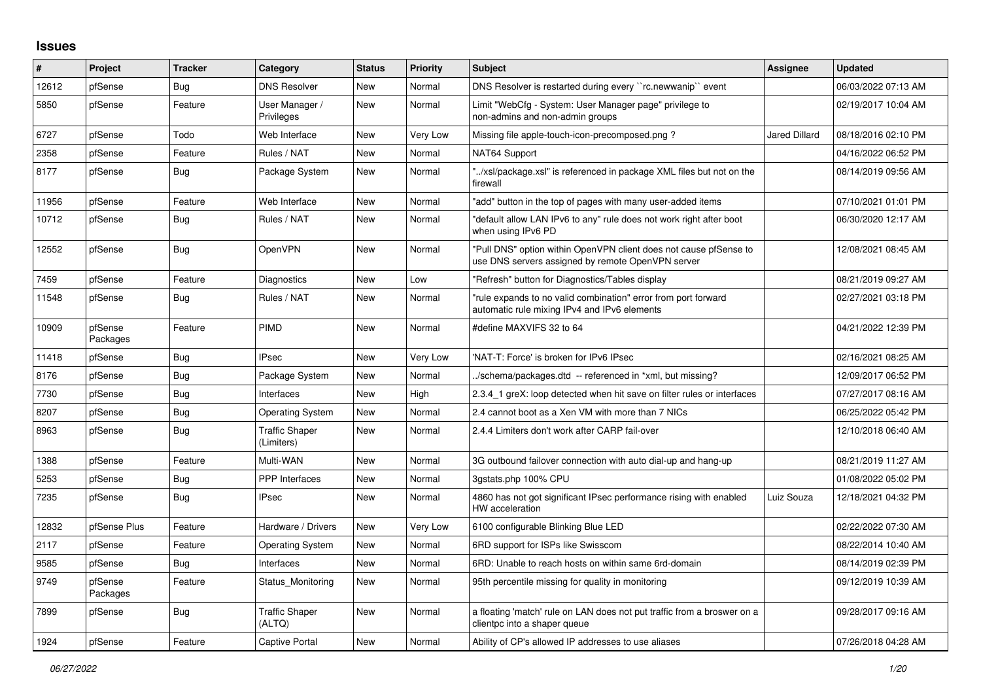## **Issues**

| #     | Project             | <b>Tracker</b> | Category                            | <b>Status</b> | <b>Priority</b> | <b>Subject</b>                                                                                                         | Assignee             | <b>Updated</b>      |
|-------|---------------------|----------------|-------------------------------------|---------------|-----------------|------------------------------------------------------------------------------------------------------------------------|----------------------|---------------------|
| 12612 | pfSense             | <b>Bug</b>     | <b>DNS Resolver</b>                 | <b>New</b>    | Normal          | DNS Resolver is restarted during every "rc.newwanip" event                                                             |                      | 06/03/2022 07:13 AM |
| 5850  | pfSense             | Feature        | User Manager /<br>Privileges        | New           | Normal          | Limit "WebCfg - System: User Manager page" privilege to<br>non-admins and non-admin groups                             |                      | 02/19/2017 10:04 AM |
| 6727  | pfSense             | Todo           | Web Interface                       | <b>New</b>    | Very Low        | Missing file apple-touch-icon-precomposed.png?                                                                         | <b>Jared Dillard</b> | 08/18/2016 02:10 PM |
| 2358  | pfSense             | Feature        | Rules / NAT                         | <b>New</b>    | Normal          | NAT64 Support                                                                                                          |                      | 04/16/2022 06:52 PM |
| 8177  | pfSense             | <b>Bug</b>     | Package System                      | New           | Normal          | "/xsl/package.xsl" is referenced in package XML files but not on the<br>firewall                                       |                      | 08/14/2019 09:56 AM |
| 11956 | pfSense             | Feature        | Web Interface                       | <b>New</b>    | Normal          | "add" button in the top of pages with many user-added items                                                            |                      | 07/10/2021 01:01 PM |
| 10712 | pfSense             | Bug            | Rules / NAT                         | <b>New</b>    | Normal          | "default allow LAN IPv6 to any" rule does not work right after boot<br>when using IPv6 PD                              |                      | 06/30/2020 12:17 AM |
| 12552 | pfSense             | <b>Bug</b>     | <b>OpenVPN</b>                      | <b>New</b>    | Normal          | "Pull DNS" option within OpenVPN client does not cause pfSense to<br>use DNS servers assigned by remote OpenVPN server |                      | 12/08/2021 08:45 AM |
| 7459  | pfSense             | Feature        | Diagnostics                         | New           | Low             | "Refresh" button for Diagnostics/Tables display                                                                        |                      | 08/21/2019 09:27 AM |
| 11548 | pfSense             | Bug            | Rules / NAT                         | New           | Normal          | 'rule expands to no valid combination" error from port forward<br>automatic rule mixing IPv4 and IPv6 elements         |                      | 02/27/2021 03:18 PM |
| 10909 | pfSense<br>Packages | Feature        | <b>PIMD</b>                         | <b>New</b>    | Normal          | #define MAXVIFS 32 to 64                                                                                               |                      | 04/21/2022 12:39 PM |
| 11418 | pfSense             | <b>Bug</b>     | <b>IPsec</b>                        | <b>New</b>    | Very Low        | 'NAT-T: Force' is broken for IPv6 IPsec                                                                                |                      | 02/16/2021 08:25 AM |
| 8176  | pfSense             | Bug            | Package System                      | <b>New</b>    | Normal          | ./schema/packages.dtd -- referenced in *xml, but missing?                                                              |                      | 12/09/2017 06:52 PM |
| 7730  | pfSense             | Bug            | Interfaces                          | <b>New</b>    | High            | 2.3.4 1 greX: loop detected when hit save on filter rules or interfaces                                                |                      | 07/27/2017 08:16 AM |
| 8207  | pfSense             | <b>Bug</b>     | <b>Operating System</b>             | <b>New</b>    | Normal          | 2.4 cannot boot as a Xen VM with more than 7 NICs                                                                      |                      | 06/25/2022 05:42 PM |
| 8963  | pfSense             | <b>Bug</b>     | <b>Traffic Shaper</b><br>(Limiters) | New           | Normal          | 2.4.4 Limiters don't work after CARP fail-over                                                                         |                      | 12/10/2018 06:40 AM |
| 1388  | pfSense             | Feature        | Multi-WAN                           | <b>New</b>    | Normal          | 3G outbound failover connection with auto dial-up and hang-up                                                          |                      | 08/21/2019 11:27 AM |
| 5253  | pfSense             | Bug            | PPP Interfaces                      | New           | Normal          | 3qstats.php 100% CPU                                                                                                   |                      | 01/08/2022 05:02 PM |
| 7235  | pfSense             | Bug            | <b>IPsec</b>                        | New           | Normal          | 4860 has not got significant IPsec performance rising with enabled<br>HW acceleration                                  | Luiz Souza           | 12/18/2021 04:32 PM |
| 12832 | pfSense Plus        | Feature        | Hardware / Drivers                  | New           | Very Low        | 6100 configurable Blinking Blue LED                                                                                    |                      | 02/22/2022 07:30 AM |
| 2117  | pfSense             | Feature        | <b>Operating System</b>             | <b>New</b>    | Normal          | 6RD support for ISPs like Swisscom                                                                                     |                      | 08/22/2014 10:40 AM |
| 9585  | pfSense             | <b>Bug</b>     | Interfaces                          | <b>New</b>    | Normal          | 6RD: Unable to reach hosts on within same 6rd-domain                                                                   |                      | 08/14/2019 02:39 PM |
| 9749  | pfSense<br>Packages | Feature        | Status Monitoring                   | New           | Normal          | 95th percentile missing for quality in monitoring                                                                      |                      | 09/12/2019 10:39 AM |
| 7899  | pfSense             | Bug            | <b>Traffic Shaper</b><br>(ALTQ)     | <b>New</b>    | Normal          | a floating 'match' rule on LAN does not put traffic from a broswer on a<br>clientpc into a shaper queue                |                      | 09/28/2017 09:16 AM |
| 1924  | pfSense             | Feature        | <b>Captive Portal</b>               | <b>New</b>    | Normal          | Ability of CP's allowed IP addresses to use aliases                                                                    |                      | 07/26/2018 04:28 AM |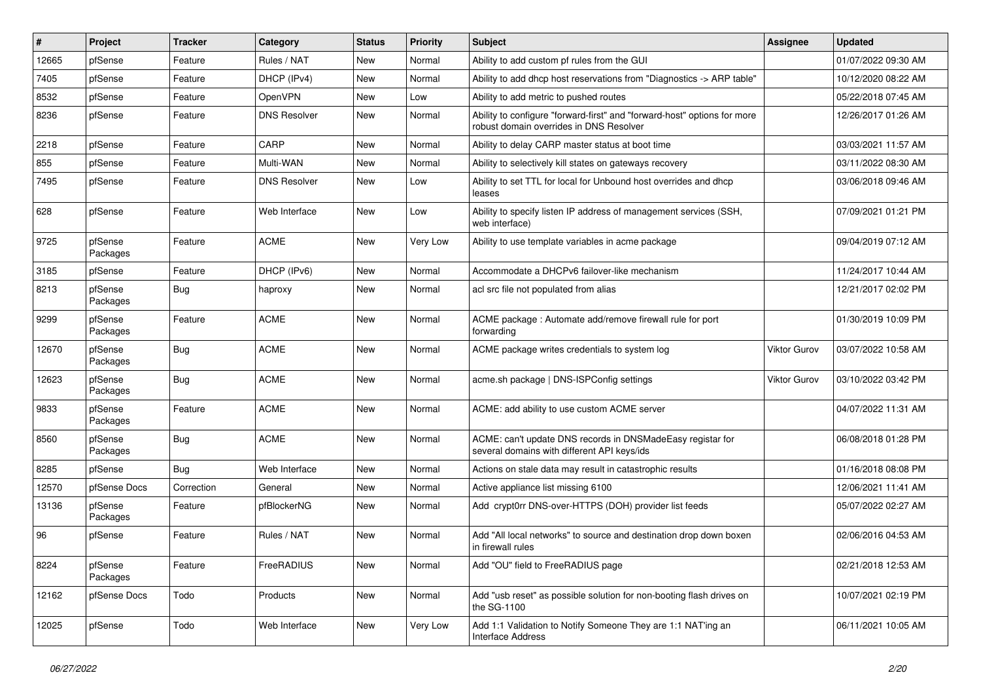| $\vert$ # | Project             | <b>Tracker</b> | Category            | <b>Status</b> | <b>Priority</b> | <b>Subject</b>                                                                                                      | Assignee            | <b>Updated</b>      |
|-----------|---------------------|----------------|---------------------|---------------|-----------------|---------------------------------------------------------------------------------------------------------------------|---------------------|---------------------|
| 12665     | pfSense             | Feature        | Rules / NAT         | New           | Normal          | Ability to add custom pf rules from the GUI                                                                         |                     | 01/07/2022 09:30 AM |
| 7405      | pfSense             | Feature        | DHCP (IPv4)         | <b>New</b>    | Normal          | Ability to add dhcp host reservations from "Diagnostics -> ARP table"                                               |                     | 10/12/2020 08:22 AM |
| 8532      | pfSense             | Feature        | OpenVPN             | New           | Low             | Ability to add metric to pushed routes                                                                              |                     | 05/22/2018 07:45 AM |
| 8236      | pfSense             | Feature        | <b>DNS Resolver</b> | New           | Normal          | Ability to configure "forward-first" and "forward-host" options for more<br>robust domain overrides in DNS Resolver |                     | 12/26/2017 01:26 AM |
| 2218      | pfSense             | Feature        | CARP                | New           | Normal          | Ability to delay CARP master status at boot time                                                                    |                     | 03/03/2021 11:57 AM |
| 855       | pfSense             | Feature        | Multi-WAN           | New           | Normal          | Ability to selectively kill states on gateways recovery                                                             |                     | 03/11/2022 08:30 AM |
| 7495      | pfSense             | Feature        | <b>DNS Resolver</b> | New           | Low             | Ability to set TTL for local for Unbound host overrides and dhcp<br>leases                                          |                     | 03/06/2018 09:46 AM |
| 628       | pfSense             | Feature        | Web Interface       | New           | Low             | Ability to specify listen IP address of management services (SSH,<br>web interface)                                 |                     | 07/09/2021 01:21 PM |
| 9725      | pfSense<br>Packages | Feature        | <b>ACME</b>         | New           | Very Low        | Ability to use template variables in acme package                                                                   |                     | 09/04/2019 07:12 AM |
| 3185      | pfSense             | Feature        | DHCP (IPv6)         | New           | Normal          | Accommodate a DHCPv6 failover-like mechanism                                                                        |                     | 11/24/2017 10:44 AM |
| 8213      | pfSense<br>Packages | Bug            | haproxy             | <b>New</b>    | Normal          | acl src file not populated from alias                                                                               |                     | 12/21/2017 02:02 PM |
| 9299      | pfSense<br>Packages | Feature        | <b>ACME</b>         | <b>New</b>    | Normal          | ACME package : Automate add/remove firewall rule for port<br>forwarding                                             |                     | 01/30/2019 10:09 PM |
| 12670     | pfSense<br>Packages | <b>Bug</b>     | <b>ACME</b>         | New           | Normal          | ACME package writes credentials to system log                                                                       | <b>Viktor Gurov</b> | 03/07/2022 10:58 AM |
| 12623     | pfSense<br>Packages | Bug            | <b>ACME</b>         | New           | Normal          | acme.sh package   DNS-ISPConfig settings                                                                            | <b>Viktor Gurov</b> | 03/10/2022 03:42 PM |
| 9833      | pfSense<br>Packages | Feature        | <b>ACME</b>         | New           | Normal          | ACME: add ability to use custom ACME server                                                                         |                     | 04/07/2022 11:31 AM |
| 8560      | pfSense<br>Packages | Bug            | <b>ACME</b>         | New           | Normal          | ACME: can't update DNS records in DNSMadeEasy registar for<br>several domains with different API keys/ids           |                     | 06/08/2018 01:28 PM |
| 8285      | pfSense             | <b>Bug</b>     | Web Interface       | <b>New</b>    | Normal          | Actions on stale data may result in catastrophic results                                                            |                     | 01/16/2018 08:08 PM |
| 12570     | pfSense Docs        | Correction     | General             | <b>New</b>    | Normal          | Active appliance list missing 6100                                                                                  |                     | 12/06/2021 11:41 AM |
| 13136     | pfSense<br>Packages | Feature        | pfBlockerNG         | New           | Normal          | Add crypt0rr DNS-over-HTTPS (DOH) provider list feeds                                                               |                     | 05/07/2022 02:27 AM |
| 96        | pfSense             | Feature        | Rules / NAT         | New           | Normal          | Add "All local networks" to source and destination drop down boxen<br>in firewall rules                             |                     | 02/06/2016 04:53 AM |
| 8224      | pfSense<br>Packages | Feature        | FreeRADIUS          | <b>New</b>    | Normal          | Add "OU" field to FreeRADIUS page                                                                                   |                     | 02/21/2018 12:53 AM |
| 12162     | pfSense Docs        | Todo           | Products            | New           | Normal          | Add "usb reset" as possible solution for non-booting flash drives on<br>the SG-1100                                 |                     | 10/07/2021 02:19 PM |
| 12025     | pfSense             | Todo           | Web Interface       | New           | Very Low        | Add 1:1 Validation to Notify Someone They are 1:1 NAT'ing an<br>Interface Address                                   |                     | 06/11/2021 10:05 AM |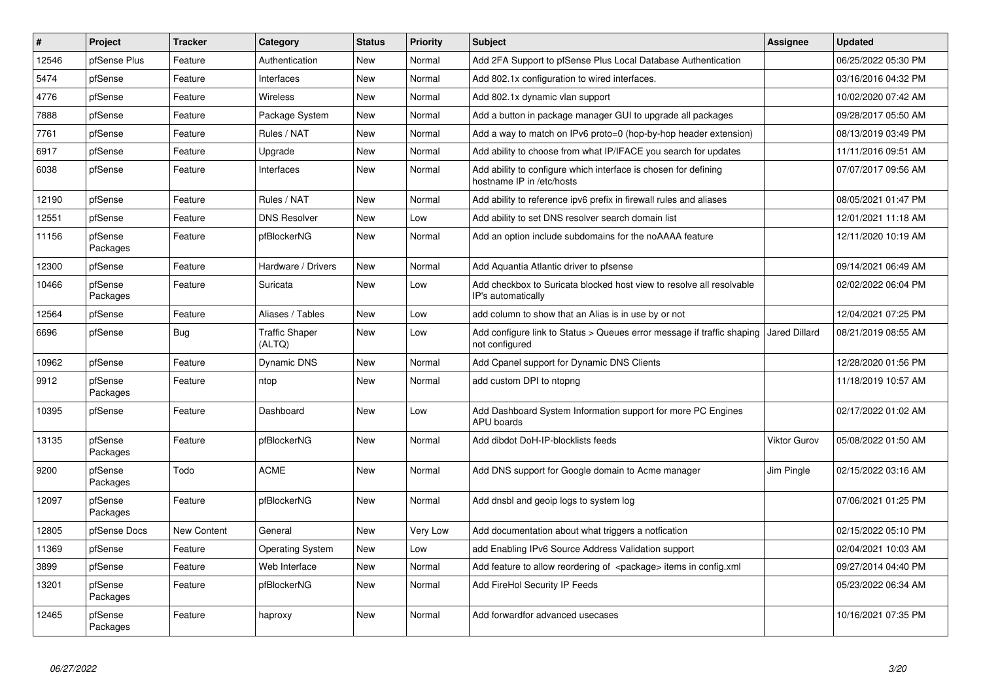| ∦     | <b>Project</b>      | <b>Tracker</b>     | Category                        | <b>Status</b> | <b>Priority</b> | <b>Subject</b>                                                                               | <b>Assignee</b> | <b>Updated</b>      |
|-------|---------------------|--------------------|---------------------------------|---------------|-----------------|----------------------------------------------------------------------------------------------|-----------------|---------------------|
| 12546 | pfSense Plus        | Feature            | Authentication                  | New           | Normal          | Add 2FA Support to pfSense Plus Local Database Authentication                                |                 | 06/25/2022 05:30 PM |
| 5474  | pfSense             | Feature            | Interfaces                      | <b>New</b>    | Normal          | Add 802.1x configuration to wired interfaces.                                                |                 | 03/16/2016 04:32 PM |
| 4776  | pfSense             | Feature            | Wireless                        | New           | Normal          | Add 802.1x dynamic vlan support                                                              |                 | 10/02/2020 07:42 AM |
| 7888  | pfSense             | Feature            | Package System                  | <b>New</b>    | Normal          | Add a button in package manager GUI to upgrade all packages                                  |                 | 09/28/2017 05:50 AM |
| 7761  | pfSense             | Feature            | Rules / NAT                     | <b>New</b>    | Normal          | Add a way to match on IPv6 proto=0 (hop-by-hop header extension)                             |                 | 08/13/2019 03:49 PM |
| 6917  | pfSense             | Feature            | Upgrade                         | New           | Normal          | Add ability to choose from what IP/IFACE you search for updates                              |                 | 11/11/2016 09:51 AM |
| 6038  | pfSense             | Feature            | Interfaces                      | <b>New</b>    | Normal          | Add ability to configure which interface is chosen for defining<br>hostname IP in /etc/hosts |                 | 07/07/2017 09:56 AM |
| 12190 | pfSense             | Feature            | Rules / NAT                     | <b>New</b>    | Normal          | Add ability to reference ipv6 prefix in firewall rules and aliases                           |                 | 08/05/2021 01:47 PM |
| 12551 | pfSense             | Feature            | <b>DNS Resolver</b>             | New           | Low             | Add ability to set DNS resolver search domain list                                           |                 | 12/01/2021 11:18 AM |
| 11156 | pfSense<br>Packages | Feature            | pfBlockerNG                     | New           | Normal          | Add an option include subdomains for the noAAAA feature                                      |                 | 12/11/2020 10:19 AM |
| 12300 | pfSense             | Feature            | Hardware / Drivers              | <b>New</b>    | Normal          | Add Aquantia Atlantic driver to pfsense                                                      |                 | 09/14/2021 06:49 AM |
| 10466 | pfSense<br>Packages | Feature            | Suricata                        | <b>New</b>    | Low             | Add checkbox to Suricata blocked host view to resolve all resolvable<br>IP's automatically   |                 | 02/02/2022 06:04 PM |
| 12564 | pfSense             | Feature            | Aliases / Tables                | <b>New</b>    | Low             | add column to show that an Alias is in use by or not                                         |                 | 12/04/2021 07:25 PM |
| 6696  | pfSense             | Bug                | <b>Traffic Shaper</b><br>(ALTQ) | New           | Low             | Add configure link to Status > Queues error message if traffic shaping<br>not configured     | Jared Dillard   | 08/21/2019 08:55 AM |
| 10962 | pfSense             | Feature            | <b>Dynamic DNS</b>              | New           | Normal          | Add Cpanel support for Dynamic DNS Clients                                                   |                 | 12/28/2020 01:56 PM |
| 9912  | pfSense<br>Packages | Feature            | ntop                            | New           | Normal          | add custom DPI to ntopng                                                                     |                 | 11/18/2019 10:57 AM |
| 10395 | pfSense             | Feature            | Dashboard                       | <b>New</b>    | Low             | Add Dashboard System Information support for more PC Engines<br><b>APU</b> boards            |                 | 02/17/2022 01:02 AM |
| 13135 | pfSense<br>Packages | Feature            | pfBlockerNG                     | <b>New</b>    | Normal          | Add dibdot DoH-IP-blocklists feeds                                                           | Viktor Gurov    | 05/08/2022 01:50 AM |
| 9200  | pfSense<br>Packages | Todo               | <b>ACME</b>                     | <b>New</b>    | Normal          | Add DNS support for Google domain to Acme manager                                            | Jim Pingle      | 02/15/2022 03:16 AM |
| 12097 | pfSense<br>Packages | Feature            | pfBlockerNG                     | New           | Normal          | Add dnsbl and geoip logs to system log                                                       |                 | 07/06/2021 01:25 PM |
| 12805 | pfSense Docs        | <b>New Content</b> | General                         | <b>New</b>    | Very Low        | Add documentation about what triggers a notfication                                          |                 | 02/15/2022 05:10 PM |
| 11369 | pfSense             | Feature            | <b>Operating System</b>         | <b>New</b>    | Low             | add Enabling IPv6 Source Address Validation support                                          |                 | 02/04/2021 10:03 AM |
| 3899  | pfSense             | Feature            | Web Interface                   | <b>New</b>    | Normal          | Add feature to allow reordering of <package> items in config.xml</package>                   |                 | 09/27/2014 04:40 PM |
| 13201 | pfSense<br>Packages | Feature            | pfBlockerNG                     | New           | Normal          | Add FireHol Security IP Feeds                                                                |                 | 05/23/2022 06:34 AM |
| 12465 | pfSense<br>Packages | Feature            | haproxy                         | <b>New</b>    | Normal          | Add forwardfor advanced usecases                                                             |                 | 10/16/2021 07:35 PM |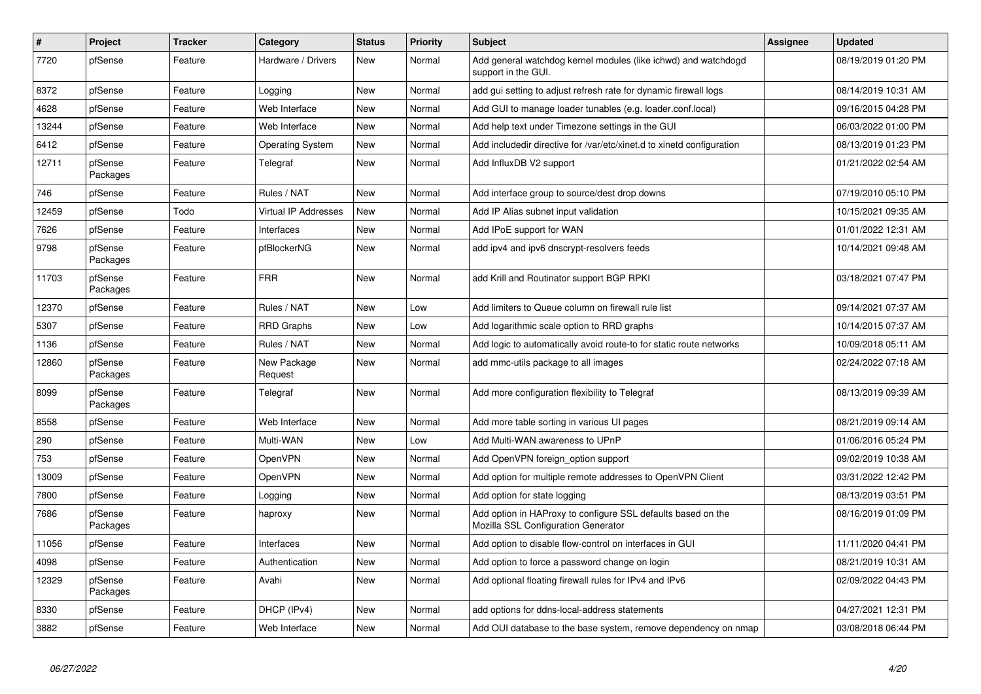| $\sharp$ | Project             | <b>Tracker</b> | Category                | <b>Status</b> | Priority | <b>Subject</b>                                                                                      | <b>Assignee</b> | <b>Updated</b>      |
|----------|---------------------|----------------|-------------------------|---------------|----------|-----------------------------------------------------------------------------------------------------|-----------------|---------------------|
| 7720     | pfSense             | Feature        | Hardware / Drivers      | <b>New</b>    | Normal   | Add general watchdog kernel modules (like ichwd) and watchdogd<br>support in the GUI.               |                 | 08/19/2019 01:20 PM |
| 8372     | pfSense             | Feature        | Logging                 | <b>New</b>    | Normal   | add gui setting to adjust refresh rate for dynamic firewall logs                                    |                 | 08/14/2019 10:31 AM |
| 4628     | pfSense             | Feature        | Web Interface           | <b>New</b>    | Normal   | Add GUI to manage loader tunables (e.g. loader.conf.local)                                          |                 | 09/16/2015 04:28 PM |
| 13244    | pfSense             | Feature        | Web Interface           | <b>New</b>    | Normal   | Add help text under Timezone settings in the GUI                                                    |                 | 06/03/2022 01:00 PM |
| 6412     | pfSense             | Feature        | <b>Operating System</b> | <b>New</b>    | Normal   | Add includedir directive for /var/etc/xinet.d to xinetd configuration                               |                 | 08/13/2019 01:23 PM |
| 12711    | pfSense<br>Packages | Feature        | Telegraf                | <b>New</b>    | Normal   | Add InfluxDB V2 support                                                                             |                 | 01/21/2022 02:54 AM |
| 746      | pfSense             | Feature        | Rules / NAT             | <b>New</b>    | Normal   | Add interface group to source/dest drop downs                                                       |                 | 07/19/2010 05:10 PM |
| 12459    | pfSense             | Todo           | Virtual IP Addresses    | <b>New</b>    | Normal   | Add IP Alias subnet input validation                                                                |                 | 10/15/2021 09:35 AM |
| 7626     | pfSense             | Feature        | Interfaces              | <b>New</b>    | Normal   | Add IPoE support for WAN                                                                            |                 | 01/01/2022 12:31 AM |
| 9798     | pfSense<br>Packages | Feature        | pfBlockerNG             | <b>New</b>    | Normal   | add ipv4 and ipv6 dnscrypt-resolvers feeds                                                          |                 | 10/14/2021 09:48 AM |
| 11703    | pfSense<br>Packages | Feature        | <b>FRR</b>              | <b>New</b>    | Normal   | add Krill and Routinator support BGP RPKI                                                           |                 | 03/18/2021 07:47 PM |
| 12370    | pfSense             | Feature        | Rules / NAT             | <b>New</b>    | Low      | Add limiters to Queue column on firewall rule list                                                  |                 | 09/14/2021 07:37 AM |
| 5307     | pfSense             | Feature        | <b>RRD Graphs</b>       | <b>New</b>    | Low      | Add logarithmic scale option to RRD graphs                                                          |                 | 10/14/2015 07:37 AM |
| 1136     | pfSense             | Feature        | Rules / NAT             | <b>New</b>    | Normal   | Add logic to automatically avoid route-to for static route networks                                 |                 | 10/09/2018 05:11 AM |
| 12860    | pfSense<br>Packages | Feature        | New Package<br>Request  | <b>New</b>    | Normal   | add mmc-utils package to all images                                                                 |                 | 02/24/2022 07:18 AM |
| 8099     | pfSense<br>Packages | Feature        | Telegraf                | <b>New</b>    | Normal   | Add more configuration flexibility to Telegraf                                                      |                 | 08/13/2019 09:39 AM |
| 8558     | pfSense             | Feature        | Web Interface           | <b>New</b>    | Normal   | Add more table sorting in various UI pages                                                          |                 | 08/21/2019 09:14 AM |
| 290      | pfSense             | Feature        | Multi-WAN               | <b>New</b>    | Low      | Add Multi-WAN awareness to UPnP                                                                     |                 | 01/06/2016 05:24 PM |
| 753      | pfSense             | Feature        | OpenVPN                 | New           | Normal   | Add OpenVPN foreign option support                                                                  |                 | 09/02/2019 10:38 AM |
| 13009    | pfSense             | Feature        | OpenVPN                 | <b>New</b>    | Normal   | Add option for multiple remote addresses to OpenVPN Client                                          |                 | 03/31/2022 12:42 PM |
| 7800     | pfSense             | Feature        | Logging                 | <b>New</b>    | Normal   | Add option for state logging                                                                        |                 | 08/13/2019 03:51 PM |
| 7686     | pfSense<br>Packages | Feature        | haproxy                 | New           | Normal   | Add option in HAProxy to configure SSL defaults based on the<br>Mozilla SSL Configuration Generator |                 | 08/16/2019 01:09 PM |
| 11056    | pfSense             | Feature        | Interfaces              | <b>New</b>    | Normal   | Add option to disable flow-control on interfaces in GUI                                             |                 | 11/11/2020 04:41 PM |
| 4098     | pfSense             | Feature        | Authentication          | New           | Normal   | Add option to force a password change on login                                                      |                 | 08/21/2019 10:31 AM |
| 12329    | pfSense<br>Packages | Feature        | Avahi                   | <b>New</b>    | Normal   | Add optional floating firewall rules for IPv4 and IPv6                                              |                 | 02/09/2022 04:43 PM |
| 8330     | pfSense             | Feature        | DHCP (IPv4)             | <b>New</b>    | Normal   | add options for ddns-local-address statements                                                       |                 | 04/27/2021 12:31 PM |
| 3882     | pfSense             | Feature        | Web Interface           | <b>New</b>    | Normal   | Add OUI database to the base system, remove dependency on nmap                                      |                 | 03/08/2018 06:44 PM |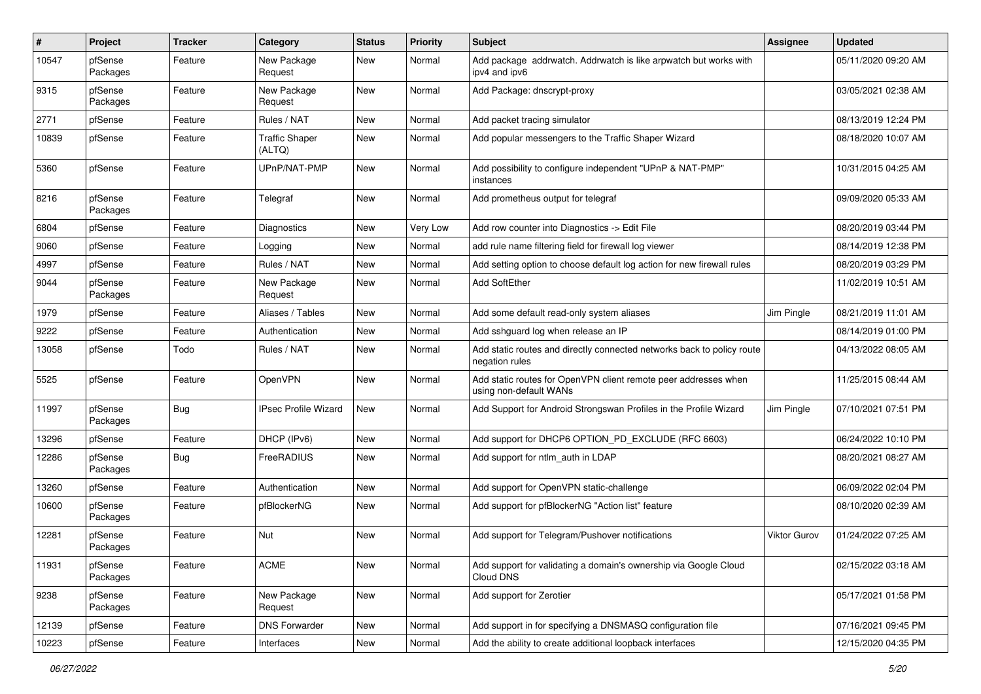| #     | Project             | <b>Tracker</b> | Category                        | <b>Status</b> | <b>Priority</b> | Subject                                                                                   | Assignee     | <b>Updated</b>      |
|-------|---------------------|----------------|---------------------------------|---------------|-----------------|-------------------------------------------------------------------------------------------|--------------|---------------------|
| 10547 | pfSense<br>Packages | Feature        | New Package<br>Request          | New           | Normal          | Add package addrwatch. Addrwatch is like arpwatch but works with<br>ipv4 and ipv6         |              | 05/11/2020 09:20 AM |
| 9315  | pfSense<br>Packages | Feature        | New Package<br>Request          | <b>New</b>    | Normal          | Add Package: dnscrypt-proxy                                                               |              | 03/05/2021 02:38 AM |
| 2771  | pfSense             | Feature        | Rules / NAT                     | New           | Normal          | Add packet tracing simulator                                                              |              | 08/13/2019 12:24 PM |
| 10839 | pfSense             | Feature        | <b>Traffic Shaper</b><br>(ALTQ) | <b>New</b>    | Normal          | Add popular messengers to the Traffic Shaper Wizard                                       |              | 08/18/2020 10:07 AM |
| 5360  | pfSense             | Feature        | UPnP/NAT-PMP                    | <b>New</b>    | Normal          | Add possibility to configure independent "UPnP & NAT-PMP"<br>instances                    |              | 10/31/2015 04:25 AM |
| 8216  | pfSense<br>Packages | Feature        | Telegraf                        | New           | Normal          | Add prometheus output for telegraf                                                        |              | 09/09/2020 05:33 AM |
| 6804  | pfSense             | Feature        | Diagnostics                     | <b>New</b>    | Very Low        | Add row counter into Diagnostics -> Edit File                                             |              | 08/20/2019 03:44 PM |
| 9060  | pfSense             | Feature        | Logging                         | New           | Normal          | add rule name filtering field for firewall log viewer                                     |              | 08/14/2019 12:38 PM |
| 4997  | pfSense             | Feature        | Rules / NAT                     | New           | Normal          | Add setting option to choose default log action for new firewall rules                    |              | 08/20/2019 03:29 PM |
| 9044  | pfSense<br>Packages | Feature        | New Package<br>Request          | New           | Normal          | Add SoftEther                                                                             |              | 11/02/2019 10:51 AM |
| 1979  | pfSense             | Feature        | Aliases / Tables                | New           | Normal          | Add some default read-only system aliases                                                 | Jim Pingle   | 08/21/2019 11:01 AM |
| 9222  | pfSense             | Feature        | Authentication                  | <b>New</b>    | Normal          | Add sshguard log when release an IP                                                       |              | 08/14/2019 01:00 PM |
| 13058 | pfSense             | Todo           | Rules / NAT                     | New           | Normal          | Add static routes and directly connected networks back to policy route<br>negation rules  |              | 04/13/2022 08:05 AM |
| 5525  | pfSense             | Feature        | OpenVPN                         | New           | Normal          | Add static routes for OpenVPN client remote peer addresses when<br>using non-default WANs |              | 11/25/2015 08:44 AM |
| 11997 | pfSense<br>Packages | <b>Bug</b>     | <b>IPsec Profile Wizard</b>     | New           | Normal          | Add Support for Android Strongswan Profiles in the Profile Wizard                         | Jim Pingle   | 07/10/2021 07:51 PM |
| 13296 | pfSense             | Feature        | DHCP (IPv6)                     | <b>New</b>    | Normal          | Add support for DHCP6 OPTION_PD_EXCLUDE (RFC 6603)                                        |              | 06/24/2022 10:10 PM |
| 12286 | pfSense<br>Packages | <b>Bug</b>     | FreeRADIUS                      | New           | Normal          | Add support for ntlm auth in LDAP                                                         |              | 08/20/2021 08:27 AM |
| 13260 | pfSense             | Feature        | Authentication                  | New           | Normal          | Add support for OpenVPN static-challenge                                                  |              | 06/09/2022 02:04 PM |
| 10600 | pfSense<br>Packages | Feature        | pfBlockerNG                     | <b>New</b>    | Normal          | Add support for pfBlockerNG "Action list" feature                                         |              | 08/10/2020 02:39 AM |
| 12281 | pfSense<br>Packages | Feature        | Nut                             | <b>New</b>    | Normal          | Add support for Telegram/Pushover notifications                                           | Viktor Gurov | 01/24/2022 07:25 AM |
| 11931 | pfSense<br>Packages | Feature        | <b>ACME</b>                     | New           | Normal          | Add support for validating a domain's ownership via Google Cloud<br>Cloud DNS             |              | 02/15/2022 03:18 AM |
| 9238  | pfSense<br>Packages | Feature        | New Package<br>Request          | New           | Normal          | Add support for Zerotier                                                                  |              | 05/17/2021 01:58 PM |
| 12139 | pfSense             | Feature        | <b>DNS Forwarder</b>            | New           | Normal          | Add support in for specifying a DNSMASQ configuration file                                |              | 07/16/2021 09:45 PM |
| 10223 | pfSense             | Feature        | Interfaces                      | New           | Normal          | Add the ability to create additional loopback interfaces                                  |              | 12/15/2020 04:35 PM |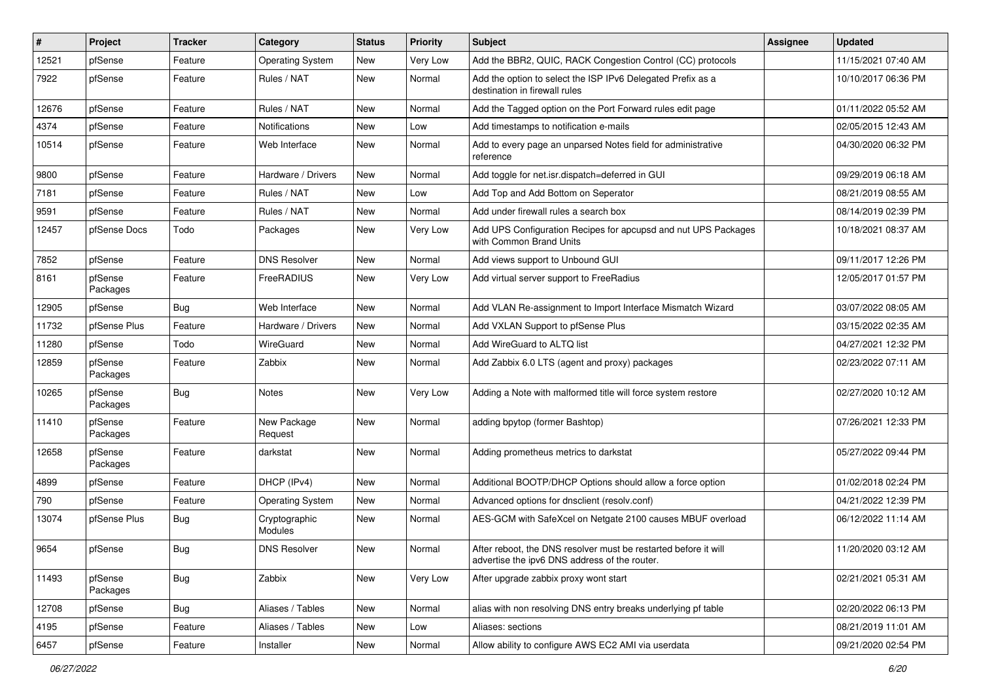| $\sharp$ | Project             | <b>Tracker</b> | Category                 | <b>Status</b> | <b>Priority</b> | <b>Subject</b>                                                                                                   | Assignee | <b>Updated</b>      |
|----------|---------------------|----------------|--------------------------|---------------|-----------------|------------------------------------------------------------------------------------------------------------------|----------|---------------------|
| 12521    | pfSense             | Feature        | <b>Operating System</b>  | New           | Very Low        | Add the BBR2, QUIC, RACK Congestion Control (CC) protocols                                                       |          | 11/15/2021 07:40 AM |
| 7922     | pfSense             | Feature        | Rules / NAT              | New           | Normal          | Add the option to select the ISP IPv6 Delegated Prefix as a<br>destination in firewall rules                     |          | 10/10/2017 06:36 PM |
| 12676    | pfSense             | Feature        | Rules / NAT              | <b>New</b>    | Normal          | Add the Tagged option on the Port Forward rules edit page                                                        |          | 01/11/2022 05:52 AM |
| 4374     | pfSense             | Feature        | Notifications            | New           | Low             | Add timestamps to notification e-mails                                                                           |          | 02/05/2015 12:43 AM |
| 10514    | pfSense             | Feature        | Web Interface            | New           | Normal          | Add to every page an unparsed Notes field for administrative<br>reference                                        |          | 04/30/2020 06:32 PM |
| 9800     | pfSense             | Feature        | Hardware / Drivers       | <b>New</b>    | Normal          | Add toggle for net.isr.dispatch=deferred in GUI                                                                  |          | 09/29/2019 06:18 AM |
| 7181     | pfSense             | Feature        | Rules / NAT              | New           | Low             | Add Top and Add Bottom on Seperator                                                                              |          | 08/21/2019 08:55 AM |
| 9591     | pfSense             | Feature        | Rules / NAT              | <b>New</b>    | Normal          | Add under firewall rules a search box                                                                            |          | 08/14/2019 02:39 PM |
| 12457    | pfSense Docs        | Todo           | Packages                 | New           | Very Low        | Add UPS Configuration Recipes for apcupsd and nut UPS Packages<br>with Common Brand Units                        |          | 10/18/2021 08:37 AM |
| 7852     | pfSense             | Feature        | <b>DNS Resolver</b>      | New           | Normal          | Add views support to Unbound GUI                                                                                 |          | 09/11/2017 12:26 PM |
| 8161     | pfSense<br>Packages | Feature        | FreeRADIUS               | New           | Very Low        | Add virtual server support to FreeRadius                                                                         |          | 12/05/2017 01:57 PM |
| 12905    | pfSense             | Bug            | Web Interface            | <b>New</b>    | Normal          | Add VLAN Re-assignment to Import Interface Mismatch Wizard                                                       |          | 03/07/2022 08:05 AM |
| 11732    | pfSense Plus        | Feature        | Hardware / Drivers       | New           | Normal          | Add VXLAN Support to pfSense Plus                                                                                |          | 03/15/2022 02:35 AM |
| 11280    | pfSense             | Todo           | WireGuard                | <b>New</b>    | Normal          | Add WireGuard to ALTQ list                                                                                       |          | 04/27/2021 12:32 PM |
| 12859    | pfSense<br>Packages | Feature        | Zabbix                   | New           | Normal          | Add Zabbix 6.0 LTS (agent and proxy) packages                                                                    |          | 02/23/2022 07:11 AM |
| 10265    | pfSense<br>Packages | <b>Bug</b>     | Notes                    | New           | Very Low        | Adding a Note with malformed title will force system restore                                                     |          | 02/27/2020 10:12 AM |
| 11410    | pfSense<br>Packages | Feature        | New Package<br>Request   | <b>New</b>    | Normal          | adding bpytop (former Bashtop)                                                                                   |          | 07/26/2021 12:33 PM |
| 12658    | pfSense<br>Packages | Feature        | darkstat                 | <b>New</b>    | Normal          | Adding prometheus metrics to darkstat                                                                            |          | 05/27/2022 09:44 PM |
| 4899     | pfSense             | Feature        | DHCP (IPv4)              | <b>New</b>    | Normal          | Additional BOOTP/DHCP Options should allow a force option                                                        |          | 01/02/2018 02:24 PM |
| 790      | pfSense             | Feature        | <b>Operating System</b>  | New           | Normal          | Advanced options for dnsclient (resolv.conf)                                                                     |          | 04/21/2022 12:39 PM |
| 13074    | pfSense Plus        | <b>Bug</b>     | Cryptographic<br>Modules | <b>New</b>    | Normal          | AES-GCM with SafeXcel on Netgate 2100 causes MBUF overload                                                       |          | 06/12/2022 11:14 AM |
| 9654     | pfSense             | Bug            | <b>DNS Resolver</b>      | <b>New</b>    | Normal          | After reboot, the DNS resolver must be restarted before it will<br>advertise the ipv6 DNS address of the router. |          | 11/20/2020 03:12 AM |
| 11493    | pfSense<br>Packages | <b>Bug</b>     | Zabbix                   | New           | Very Low        | After upgrade zabbix proxy wont start                                                                            |          | 02/21/2021 05:31 AM |
| 12708    | pfSense             | <b>Bug</b>     | Aliases / Tables         | New           | Normal          | alias with non resolving DNS entry breaks underlying pf table                                                    |          | 02/20/2022 06:13 PM |
| 4195     | pfSense             | Feature        | Aliases / Tables         | New           | Low             | Aliases: sections                                                                                                |          | 08/21/2019 11:01 AM |
| 6457     | pfSense             | Feature        | Installer                | New           | Normal          | Allow ability to configure AWS EC2 AMI via userdata                                                              |          | 09/21/2020 02:54 PM |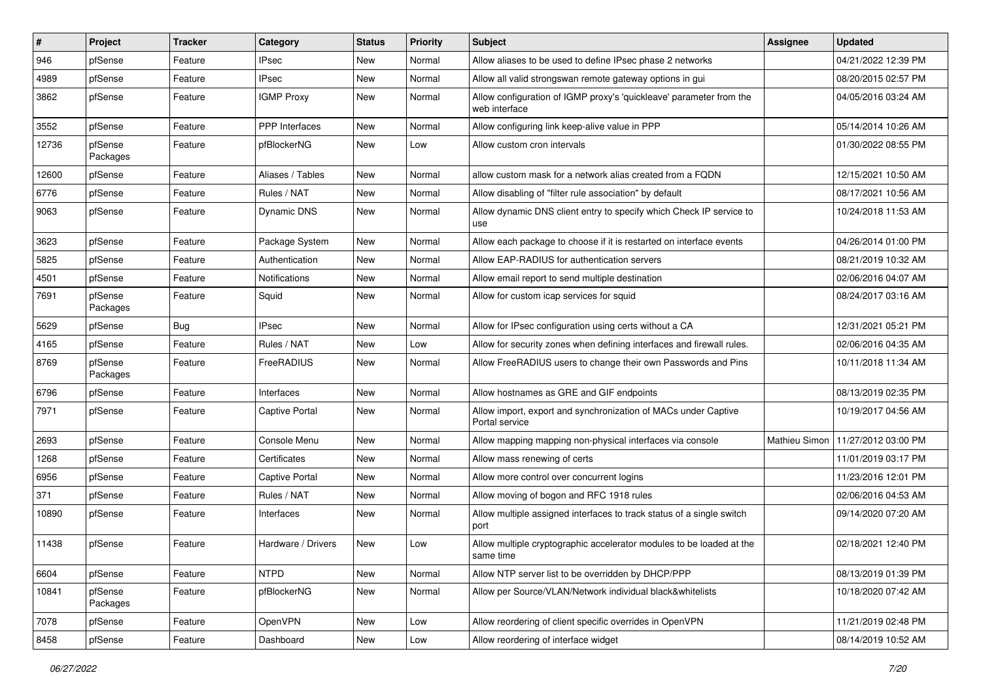| $\pmb{\#}$ | Project             | <b>Tracker</b> | Category              | <b>Status</b> | <b>Priority</b> | <b>Subject</b>                                                                       | Assignee             | <b>Updated</b>      |
|------------|---------------------|----------------|-----------------------|---------------|-----------------|--------------------------------------------------------------------------------------|----------------------|---------------------|
| 946        | pfSense             | Feature        | IPsec                 | New           | Normal          | Allow aliases to be used to define IPsec phase 2 networks                            |                      | 04/21/2022 12:39 PM |
| 4989       | pfSense             | Feature        | <b>IPsec</b>          | <b>New</b>    | Normal          | Allow all valid strongswan remote gateway options in gui                             |                      | 08/20/2015 02:57 PM |
| 3862       | pfSense             | Feature        | <b>IGMP Proxy</b>     | New           | Normal          | Allow configuration of IGMP proxy's 'quickleave' parameter from the<br>web interface |                      | 04/05/2016 03:24 AM |
| 3552       | pfSense             | Feature        | <b>PPP</b> Interfaces | New           | Normal          | Allow configuring link keep-alive value in PPP                                       |                      | 05/14/2014 10:26 AM |
| 12736      | pfSense<br>Packages | Feature        | pfBlockerNG           | New           | Low             | Allow custom cron intervals                                                          |                      | 01/30/2022 08:55 PM |
| 12600      | pfSense             | Feature        | Aliases / Tables      | <b>New</b>    | Normal          | allow custom mask for a network alias created from a FQDN                            |                      | 12/15/2021 10:50 AM |
| 6776       | pfSense             | Feature        | Rules / NAT           | New           | Normal          | Allow disabling of "filter rule association" by default                              |                      | 08/17/2021 10:56 AM |
| 9063       | pfSense             | Feature        | <b>Dynamic DNS</b>    | New           | Normal          | Allow dynamic DNS client entry to specify which Check IP service to<br>use           |                      | 10/24/2018 11:53 AM |
| 3623       | pfSense             | Feature        | Package System        | <b>New</b>    | Normal          | Allow each package to choose if it is restarted on interface events                  |                      | 04/26/2014 01:00 PM |
| 5825       | pfSense             | Feature        | Authentication        | <b>New</b>    | Normal          | Allow EAP-RADIUS for authentication servers                                          |                      | 08/21/2019 10:32 AM |
| 4501       | pfSense             | Feature        | <b>Notifications</b>  | New           | Normal          | Allow email report to send multiple destination                                      |                      | 02/06/2016 04:07 AM |
| 7691       | pfSense<br>Packages | Feature        | Squid                 | New           | Normal          | Allow for custom icap services for squid                                             |                      | 08/24/2017 03:16 AM |
| 5629       | pfSense             | Bug            | <b>IPsec</b>          | New           | Normal          | Allow for IPsec configuration using certs without a CA                               |                      | 12/31/2021 05:21 PM |
| 4165       | pfSense             | Feature        | Rules / NAT           | <b>New</b>    | Low             | Allow for security zones when defining interfaces and firewall rules.                |                      | 02/06/2016 04:35 AM |
| 8769       | pfSense<br>Packages | Feature        | FreeRADIUS            | New           | Normal          | Allow FreeRADIUS users to change their own Passwords and Pins                        |                      | 10/11/2018 11:34 AM |
| 6796       | pfSense             | Feature        | Interfaces            | <b>New</b>    | Normal          | Allow hostnames as GRE and GIF endpoints                                             |                      | 08/13/2019 02:35 PM |
| 7971       | pfSense             | Feature        | Captive Portal        | New           | Normal          | Allow import, export and synchronization of MACs under Captive<br>Portal service     |                      | 10/19/2017 04:56 AM |
| 2693       | pfSense             | Feature        | Console Menu          | <b>New</b>    | Normal          | Allow mapping mapping non-physical interfaces via console                            | <b>Mathieu Simon</b> | 11/27/2012 03:00 PM |
| 1268       | pfSense             | Feature        | Certificates          | New           | Normal          | Allow mass renewing of certs                                                         |                      | 11/01/2019 03:17 PM |
| 6956       | pfSense             | Feature        | <b>Captive Portal</b> | <b>New</b>    | Normal          | Allow more control over concurrent logins                                            |                      | 11/23/2016 12:01 PM |
| 371        | pfSense             | Feature        | Rules / NAT           | New           | Normal          | Allow moving of bogon and RFC 1918 rules                                             |                      | 02/06/2016 04:53 AM |
| 10890      | pfSense             | Feature        | Interfaces            | <b>New</b>    | Normal          | Allow multiple assigned interfaces to track status of a single switch<br>port        |                      | 09/14/2020 07:20 AM |
| 11438      | pfSense             | Feature        | Hardware / Drivers    | New           | Low             | Allow multiple cryptographic accelerator modules to be loaded at the<br>same time    |                      | 02/18/2021 12:40 PM |
| 6604       | pfSense             | Feature        | <b>NTPD</b>           | New           | Normal          | Allow NTP server list to be overridden by DHCP/PPP                                   |                      | 08/13/2019 01:39 PM |
| 10841      | pfSense<br>Packages | Feature        | pfBlockerNG           | New           | Normal          | Allow per Source/VLAN/Network individual black&whitelists                            |                      | 10/18/2020 07:42 AM |
| 7078       | pfSense             | Feature        | OpenVPN               | New           | Low             | Allow reordering of client specific overrides in OpenVPN                             |                      | 11/21/2019 02:48 PM |
| 8458       | pfSense             | Feature        | Dashboard             | New           | Low             | Allow reordering of interface widget                                                 |                      | 08/14/2019 10:52 AM |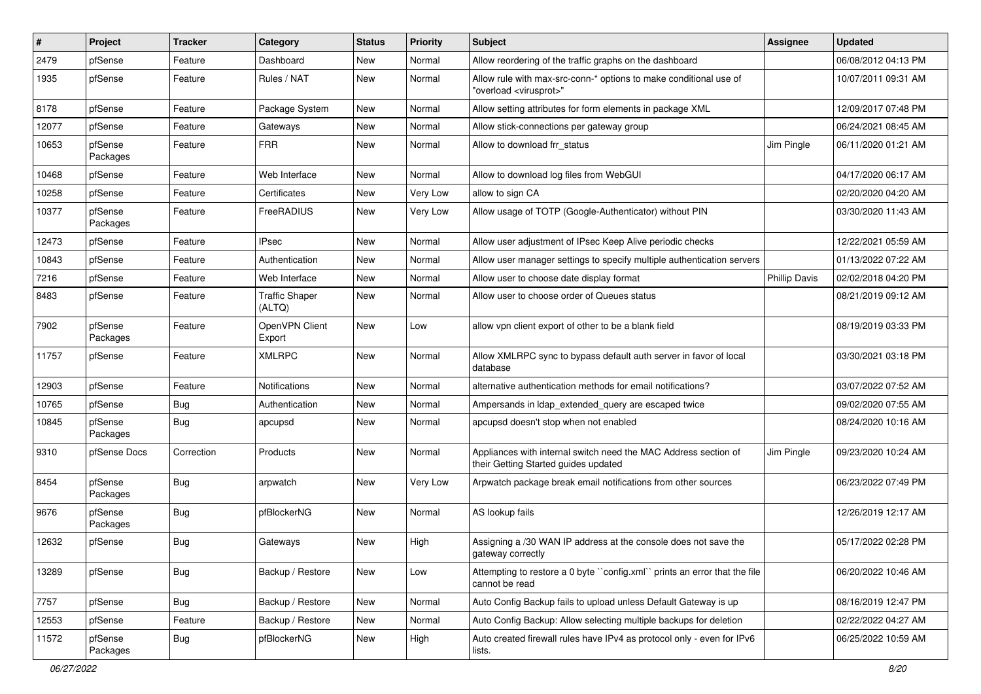| #     | Project             | <b>Tracker</b> | Category                        | <b>Status</b> | <b>Priority</b> | <b>Subject</b>                                                                                          | Assignee             | <b>Updated</b>      |
|-------|---------------------|----------------|---------------------------------|---------------|-----------------|---------------------------------------------------------------------------------------------------------|----------------------|---------------------|
| 2479  | pfSense             | Feature        | Dashboard                       | New           | Normal          | Allow reordering of the traffic graphs on the dashboard                                                 |                      | 06/08/2012 04:13 PM |
| 1935  | pfSense             | Feature        | Rules / NAT                     | New           | Normal          | Allow rule with max-src-conn-* options to make conditional use of<br>"overload <virusprot>"</virusprot> |                      | 10/07/2011 09:31 AM |
| 8178  | pfSense             | Feature        | Package System                  | New           | Normal          | Allow setting attributes for form elements in package XML                                               |                      | 12/09/2017 07:48 PM |
| 12077 | pfSense             | Feature        | Gateways                        | <b>New</b>    | Normal          | Allow stick-connections per gateway group                                                               |                      | 06/24/2021 08:45 AM |
| 10653 | pfSense<br>Packages | Feature        | <b>FRR</b>                      | New           | Normal          | Allow to download frr status                                                                            | Jim Pingle           | 06/11/2020 01:21 AM |
| 10468 | pfSense             | Feature        | Web Interface                   | <b>New</b>    | Normal          | Allow to download log files from WebGUI                                                                 |                      | 04/17/2020 06:17 AM |
| 10258 | pfSense             | Feature        | Certificates                    | New           | Very Low        | allow to sign CA                                                                                        |                      | 02/20/2020 04:20 AM |
| 10377 | pfSense<br>Packages | Feature        | FreeRADIUS                      | New           | Very Low        | Allow usage of TOTP (Google-Authenticator) without PIN                                                  |                      | 03/30/2020 11:43 AM |
| 12473 | pfSense             | Feature        | <b>IPsec</b>                    | <b>New</b>    | Normal          | Allow user adjustment of IPsec Keep Alive periodic checks                                               |                      | 12/22/2021 05:59 AM |
| 10843 | pfSense             | Feature        | Authentication                  | <b>New</b>    | Normal          | Allow user manager settings to specify multiple authentication servers                                  |                      | 01/13/2022 07:22 AM |
| 7216  | pfSense             | Feature        | Web Interface                   | New           | Normal          | Allow user to choose date display format                                                                | <b>Phillip Davis</b> | 02/02/2018 04:20 PM |
| 8483  | pfSense             | Feature        | <b>Traffic Shaper</b><br>(ALTQ) | New           | Normal          | Allow user to choose order of Queues status                                                             |                      | 08/21/2019 09:12 AM |
| 7902  | pfSense<br>Packages | Feature        | OpenVPN Client<br>Export        | New           | Low             | allow vpn client export of other to be a blank field                                                    |                      | 08/19/2019 03:33 PM |
| 11757 | pfSense             | Feature        | <b>XMLRPC</b>                   | <b>New</b>    | Normal          | Allow XMLRPC sync to bypass default auth server in favor of local<br>database                           |                      | 03/30/2021 03:18 PM |
| 12903 | pfSense             | Feature        | Notifications                   | <b>New</b>    | Normal          | alternative authentication methods for email notifications?                                             |                      | 03/07/2022 07:52 AM |
| 10765 | pfSense             | <b>Bug</b>     | Authentication                  | New           | Normal          | Ampersands in Idap extended query are escaped twice                                                     |                      | 09/02/2020 07:55 AM |
| 10845 | pfSense<br>Packages | <b>Bug</b>     | apcupsd                         | New           | Normal          | apcupsd doesn't stop when not enabled                                                                   |                      | 08/24/2020 10:16 AM |
| 9310  | pfSense Docs        | Correction     | Products                        | <b>New</b>    | Normal          | Appliances with internal switch need the MAC Address section of<br>their Getting Started guides updated | Jim Pingle           | 09/23/2020 10:24 AM |
| 8454  | pfSense<br>Packages | <b>Bug</b>     | arpwatch                        | New           | Very Low        | Arpwatch package break email notifications from other sources                                           |                      | 06/23/2022 07:49 PM |
| 9676  | pfSense<br>Packages | Bug            | pfBlockerNG                     | New           | Normal          | AS lookup fails                                                                                         |                      | 12/26/2019 12:17 AM |
| 12632 | pfSense             | <b>Bug</b>     | Gateways                        | New           | High            | Assigning a /30 WAN IP address at the console does not save the<br>gateway correctly                    |                      | 05/17/2022 02:28 PM |
| 13289 | pfSense             | <b>Bug</b>     | Backup / Restore                | New           | Low             | Attempting to restore a 0 byte "config.xml" prints an error that the file<br>cannot be read             |                      | 06/20/2022 10:46 AM |
| 7757  | pfSense             | Bug            | Backup / Restore                | New           | Normal          | Auto Config Backup fails to upload unless Default Gateway is up                                         |                      | 08/16/2019 12:47 PM |
| 12553 | pfSense             | Feature        | Backup / Restore                | New           | Normal          | Auto Config Backup: Allow selecting multiple backups for deletion                                       |                      | 02/22/2022 04:27 AM |
| 11572 | pfSense<br>Packages | Bug            | pfBlockerNG                     | New           | High            | Auto created firewall rules have IPv4 as protocol only - even for IPv6<br>lists.                        |                      | 06/25/2022 10:59 AM |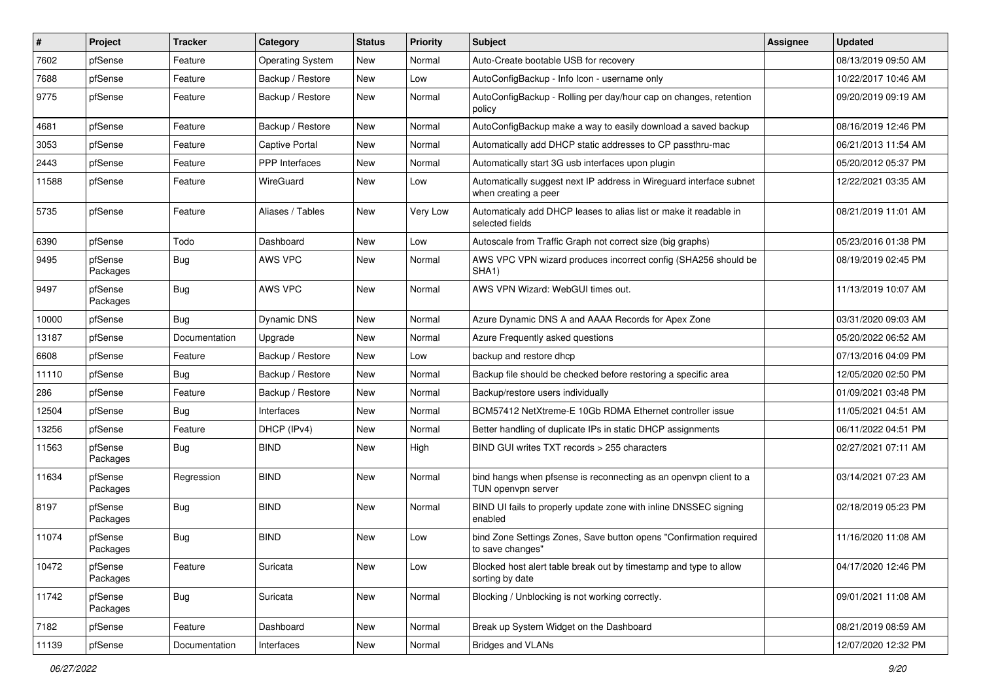| $\vert$ # | Project             | <b>Tracker</b> | Category                | <b>Status</b> | <b>Priority</b> | <b>Subject</b>                                                                              | Assignee | <b>Updated</b>      |
|-----------|---------------------|----------------|-------------------------|---------------|-----------------|---------------------------------------------------------------------------------------------|----------|---------------------|
| 7602      | pfSense             | Feature        | <b>Operating System</b> | New           | Normal          | Auto-Create bootable USB for recovery                                                       |          | 08/13/2019 09:50 AM |
| 7688      | pfSense             | Feature        | Backup / Restore        | <b>New</b>    | Low             | AutoConfigBackup - Info Icon - username only                                                |          | 10/22/2017 10:46 AM |
| 9775      | pfSense             | Feature        | Backup / Restore        | New           | Normal          | AutoConfigBackup - Rolling per day/hour cap on changes, retention<br>policy                 |          | 09/20/2019 09:19 AM |
| 4681      | pfSense             | Feature        | Backup / Restore        | <b>New</b>    | Normal          | AutoConfigBackup make a way to easily download a saved backup                               |          | 08/16/2019 12:46 PM |
| 3053      | pfSense             | Feature        | <b>Captive Portal</b>   | <b>New</b>    | Normal          | Automatically add DHCP static addresses to CP passthru-mac                                  |          | 06/21/2013 11:54 AM |
| 2443      | pfSense             | Feature        | <b>PPP</b> Interfaces   | New           | Normal          | Automatically start 3G usb interfaces upon plugin                                           |          | 05/20/2012 05:37 PM |
| 11588     | pfSense             | Feature        | WireGuard               | New           | Low             | Automatically suggest next IP address in Wireguard interface subnet<br>when creating a peer |          | 12/22/2021 03:35 AM |
| 5735      | pfSense             | Feature        | Aliases / Tables        | New           | Very Low        | Automaticaly add DHCP leases to alias list or make it readable in<br>selected fields        |          | 08/21/2019 11:01 AM |
| 6390      | pfSense             | Todo           | Dashboard               | <b>New</b>    | Low             | Autoscale from Traffic Graph not correct size (big graphs)                                  |          | 05/23/2016 01:38 PM |
| 9495      | pfSense<br>Packages | <b>Bug</b>     | AWS VPC                 | <b>New</b>    | Normal          | AWS VPC VPN wizard produces incorrect config (SHA256 should be<br>SHA1)                     |          | 08/19/2019 02:45 PM |
| 9497      | pfSense<br>Packages | Bug            | AWS VPC                 | <b>New</b>    | Normal          | AWS VPN Wizard: WebGUI times out.                                                           |          | 11/13/2019 10:07 AM |
| 10000     | pfSense             | Bug            | Dynamic DNS             | <b>New</b>    | Normal          | Azure Dynamic DNS A and AAAA Records for Apex Zone                                          |          | 03/31/2020 09:03 AM |
| 13187     | pfSense             | Documentation  | Upgrade                 | <b>New</b>    | Normal          | Azure Frequently asked questions                                                            |          | 05/20/2022 06:52 AM |
| 6608      | pfSense             | Feature        | Backup / Restore        | New           | Low             | backup and restore dhcp                                                                     |          | 07/13/2016 04:09 PM |
| 11110     | pfSense             | Bug            | Backup / Restore        | New           | Normal          | Backup file should be checked before restoring a specific area                              |          | 12/05/2020 02:50 PM |
| 286       | pfSense             | Feature        | Backup / Restore        | <b>New</b>    | Normal          | Backup/restore users individually                                                           |          | 01/09/2021 03:48 PM |
| 12504     | pfSense             | <b>Bug</b>     | Interfaces              | New           | Normal          | BCM57412 NetXtreme-E 10Gb RDMA Ethernet controller issue                                    |          | 11/05/2021 04:51 AM |
| 13256     | pfSense             | Feature        | DHCP (IPv4)             | <b>New</b>    | Normal          | Better handling of duplicate IPs in static DHCP assignments                                 |          | 06/11/2022 04:51 PM |
| 11563     | pfSense<br>Packages | <b>Bug</b>     | <b>BIND</b>             | New           | High            | BIND GUI writes TXT records > 255 characters                                                |          | 02/27/2021 07:11 AM |
| 11634     | pfSense<br>Packages | Regression     | <b>BIND</b>             | New           | Normal          | bind hangs when pfsense is reconnecting as an openvpn client to a<br>TUN openvpn server     |          | 03/14/2021 07:23 AM |
| 8197      | pfSense<br>Packages | <b>Bug</b>     | <b>BIND</b>             | New           | Normal          | BIND UI fails to properly update zone with inline DNSSEC signing<br>enabled                 |          | 02/18/2019 05:23 PM |
| 11074     | pfSense<br>Packages | <b>Bug</b>     | <b>BIND</b>             | New           | Low             | bind Zone Settings Zones, Save button opens "Confirmation required<br>to save changes"      |          | 11/16/2020 11:08 AM |
| 10472     | pfSense<br>Packages | Feature        | Suricata                | New           | Low             | Blocked host alert table break out by timestamp and type to allow<br>sorting by date        |          | 04/17/2020 12:46 PM |
| 11742     | pfSense<br>Packages | <b>Bug</b>     | Suricata                | New           | Normal          | Blocking / Unblocking is not working correctly.                                             |          | 09/01/2021 11:08 AM |
| 7182      | pfSense             | Feature        | Dashboard               | New           | Normal          | Break up System Widget on the Dashboard                                                     |          | 08/21/2019 08:59 AM |
| 11139     | pfSense             | Documentation  | Interfaces              | New           | Normal          | <b>Bridges and VLANs</b>                                                                    |          | 12/07/2020 12:32 PM |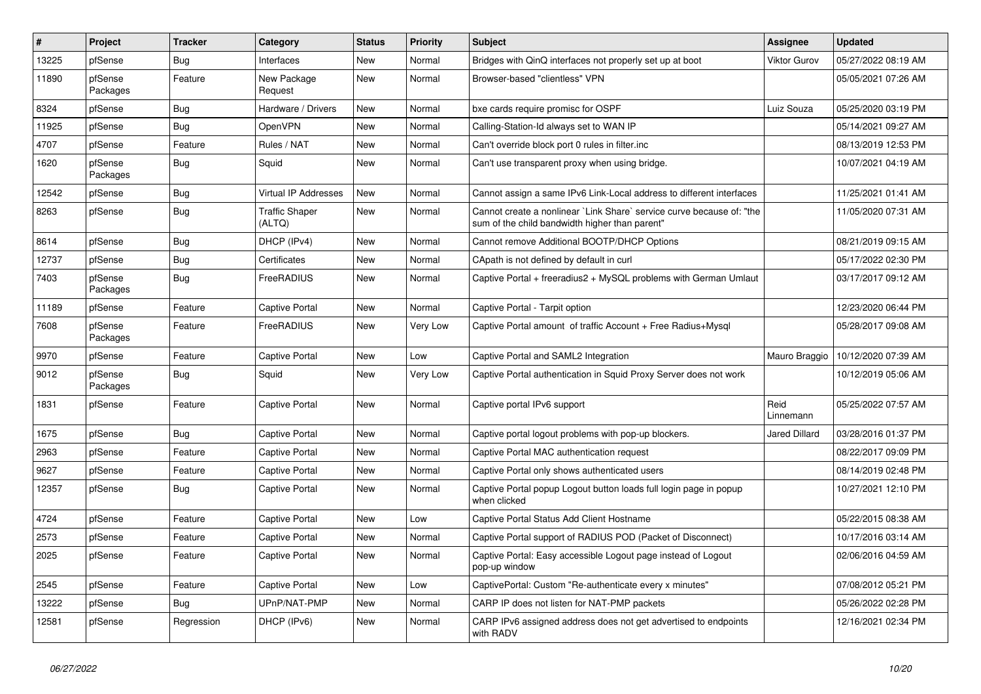| $\vert$ # | Project             | <b>Tracker</b> | Category                        | <b>Status</b> | <b>Priority</b> | <b>Subject</b>                                                                                                          | Assignee             | <b>Updated</b>      |
|-----------|---------------------|----------------|---------------------------------|---------------|-----------------|-------------------------------------------------------------------------------------------------------------------------|----------------------|---------------------|
| 13225     | pfSense             | Bug            | Interfaces                      | <b>New</b>    | Normal          | Bridges with QinQ interfaces not properly set up at boot                                                                | <b>Viktor Gurov</b>  | 05/27/2022 08:19 AM |
| 11890     | pfSense<br>Packages | Feature        | New Package<br>Request          | <b>New</b>    | Normal          | Browser-based "clientless" VPN                                                                                          |                      | 05/05/2021 07:26 AM |
| 8324      | pfSense             | <b>Bug</b>     | Hardware / Drivers              | <b>New</b>    | Normal          | bxe cards require promisc for OSPF                                                                                      | Luiz Souza           | 05/25/2020 03:19 PM |
| 11925     | pfSense             | <b>Bug</b>     | OpenVPN                         | <b>New</b>    | Normal          | Calling-Station-Id always set to WAN IP                                                                                 |                      | 05/14/2021 09:27 AM |
| 4707      | pfSense             | Feature        | Rules / NAT                     | New           | Normal          | Can't override block port 0 rules in filter.inc                                                                         |                      | 08/13/2019 12:53 PM |
| 1620      | pfSense<br>Packages | Bug            | Squid                           | New           | Normal          | Can't use transparent proxy when using bridge.                                                                          |                      | 10/07/2021 04:19 AM |
| 12542     | pfSense             | <b>Bug</b>     | <b>Virtual IP Addresses</b>     | <b>New</b>    | Normal          | Cannot assign a same IPv6 Link-Local address to different interfaces                                                    |                      | 11/25/2021 01:41 AM |
| 8263      | pfSense             | <b>Bug</b>     | <b>Traffic Shaper</b><br>(ALTQ) | <b>New</b>    | Normal          | Cannot create a nonlinear `Link Share` service curve because of: "the<br>sum of the child bandwidth higher than parent" |                      | 11/05/2020 07:31 AM |
| 8614      | pfSense             | <b>Bug</b>     | DHCP (IPv4)                     | <b>New</b>    | Normal          | Cannot remove Additional BOOTP/DHCP Options                                                                             |                      | 08/21/2019 09:15 AM |
| 12737     | pfSense             | <b>Bug</b>     | Certificates                    | <b>New</b>    | Normal          | CApath is not defined by default in curl                                                                                |                      | 05/17/2022 02:30 PM |
| 7403      | pfSense<br>Packages | Bug            | FreeRADIUS                      | <b>New</b>    | Normal          | Captive Portal + freeradius2 + MySQL problems with German Umlaut                                                        |                      | 03/17/2017 09:12 AM |
| 11189     | pfSense             | Feature        | Captive Portal                  | New           | Normal          | Captive Portal - Tarpit option                                                                                          |                      | 12/23/2020 06:44 PM |
| 7608      | pfSense<br>Packages | Feature        | FreeRADIUS                      | New           | Very Low        | Captive Portal amount of traffic Account + Free Radius+Mysql                                                            |                      | 05/28/2017 09:08 AM |
| 9970      | pfSense             | Feature        | <b>Captive Portal</b>           | <b>New</b>    | Low             | Captive Portal and SAML2 Integration                                                                                    | Mauro Braggio        | 10/12/2020 07:39 AM |
| 9012      | pfSense<br>Packages | <b>Bug</b>     | Squid                           | New           | Very Low        | Captive Portal authentication in Squid Proxy Server does not work                                                       |                      | 10/12/2019 05:06 AM |
| 1831      | pfSense             | Feature        | Captive Portal                  | <b>New</b>    | Normal          | Captive portal IPv6 support                                                                                             | Reid<br>Linnemann    | 05/25/2022 07:57 AM |
| 1675      | pfSense             | <b>Bug</b>     | Captive Portal                  | <b>New</b>    | Normal          | Captive portal logout problems with pop-up blockers.                                                                    | <b>Jared Dillard</b> | 03/28/2016 01:37 PM |
| 2963      | pfSense             | Feature        | Captive Portal                  | <b>New</b>    | Normal          | Captive Portal MAC authentication request                                                                               |                      | 08/22/2017 09:09 PM |
| 9627      | pfSense             | Feature        | Captive Portal                  | <b>New</b>    | Normal          | Captive Portal only shows authenticated users                                                                           |                      | 08/14/2019 02:48 PM |
| 12357     | pfSense             | Bug            | Captive Portal                  | New           | Normal          | Captive Portal popup Logout button loads full login page in popup<br>when clicked                                       |                      | 10/27/2021 12:10 PM |
| 4724      | pfSense             | Feature        | <b>Captive Portal</b>           | <b>New</b>    | Low             | Captive Portal Status Add Client Hostname                                                                               |                      | 05/22/2015 08:38 AM |
| 2573      | pfSense             | Feature        | Captive Portal                  | <b>New</b>    | Normal          | Captive Portal support of RADIUS POD (Packet of Disconnect)                                                             |                      | 10/17/2016 03:14 AM |
| 2025      | pfSense             | Feature        | Captive Portal                  | <b>New</b>    | Normal          | Captive Portal: Easy accessible Logout page instead of Logout<br>pop-up window                                          |                      | 02/06/2016 04:59 AM |
| 2545      | pfSense             | Feature        | Captive Portal                  | <b>New</b>    | Low             | CaptivePortal: Custom "Re-authenticate every x minutes"                                                                 |                      | 07/08/2012 05:21 PM |
| 13222     | pfSense             | <b>Bug</b>     | UPnP/NAT-PMP                    | New           | Normal          | CARP IP does not listen for NAT-PMP packets                                                                             |                      | 05/26/2022 02:28 PM |
| 12581     | pfSense             | Regression     | DHCP (IPv6)                     | New           | Normal          | CARP IPv6 assigned address does not get advertised to endpoints<br>with RADV                                            |                      | 12/16/2021 02:34 PM |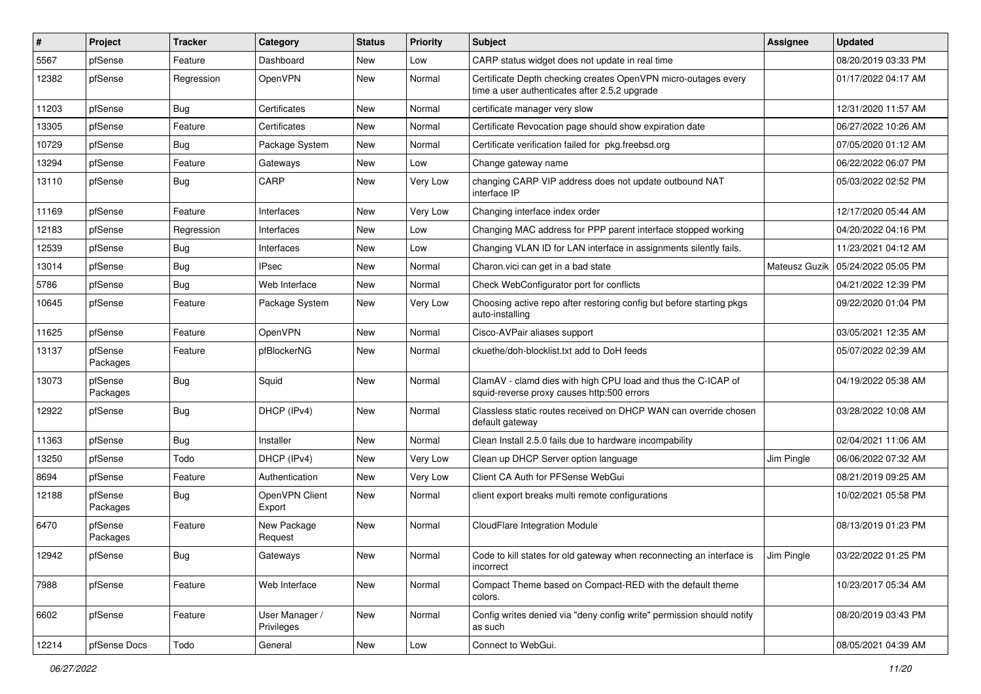| #     | Project             | <b>Tracker</b> | Category                     | <b>Status</b> | <b>Priority</b> | Subject                                                                                                         | Assignee      | <b>Updated</b>      |
|-------|---------------------|----------------|------------------------------|---------------|-----------------|-----------------------------------------------------------------------------------------------------------------|---------------|---------------------|
| 5567  | pfSense             | Feature        | Dashboard                    | New           | Low             | CARP status widget does not update in real time                                                                 |               | 08/20/2019 03:33 PM |
| 12382 | pfSense             | Regression     | OpenVPN                      | New           | Normal          | Certificate Depth checking creates OpenVPN micro-outages every<br>time a user authenticates after 2.5.2 upgrade |               | 01/17/2022 04:17 AM |
| 11203 | pfSense             | <b>Bug</b>     | Certificates                 | New           | Normal          | certificate manager very slow                                                                                   |               | 12/31/2020 11:57 AM |
| 13305 | pfSense             | Feature        | Certificates                 | <b>New</b>    | Normal          | Certificate Revocation page should show expiration date                                                         |               | 06/27/2022 10:26 AM |
| 10729 | pfSense             | <b>Bug</b>     | Package System               | New           | Normal          | Certificate verification failed for pkg.freebsd.org                                                             |               | 07/05/2020 01:12 AM |
| 13294 | pfSense             | Feature        | Gateways                     | New           | Low             | Change gateway name                                                                                             |               | 06/22/2022 06:07 PM |
| 13110 | pfSense             | <b>Bug</b>     | CARP                         | New           | Very Low        | changing CARP VIP address does not update outbound NAT<br>interface IP                                          |               | 05/03/2022 02:52 PM |
| 11169 | pfSense             | Feature        | Interfaces                   | New           | Very Low        | Changing interface index order                                                                                  |               | 12/17/2020 05:44 AM |
| 12183 | pfSense             | Regression     | Interfaces                   | New           | Low             | Changing MAC address for PPP parent interface stopped working                                                   |               | 04/20/2022 04:16 PM |
| 12539 | pfSense             | <b>Bug</b>     | Interfaces                   | New           | Low             | Changing VLAN ID for LAN interface in assignments silently fails.                                               |               | 11/23/2021 04:12 AM |
| 13014 | pfSense             | <b>Bug</b>     | <b>IPsec</b>                 | New           | Normal          | Charon.vici can get in a bad state                                                                              | Mateusz Guzik | 05/24/2022 05:05 PM |
| 5786  | pfSense             | Bug            | Web Interface                | New           | Normal          | Check WebConfigurator port for conflicts                                                                        |               | 04/21/2022 12:39 PM |
| 10645 | pfSense             | Feature        | Package System               | New           | Very Low        | Choosing active repo after restoring config but before starting pkgs<br>auto-installing                         |               | 09/22/2020 01:04 PM |
| 11625 | pfSense             | Feature        | OpenVPN                      | New           | Normal          | Cisco-AVPair aliases support                                                                                    |               | 03/05/2021 12:35 AM |
| 13137 | pfSense<br>Packages | Feature        | pfBlockerNG                  | <b>New</b>    | Normal          | ckuethe/doh-blocklist.txt add to DoH feeds                                                                      |               | 05/07/2022 02:39 AM |
| 13073 | pfSense<br>Packages | <b>Bug</b>     | Squid                        | New           | Normal          | ClamAV - clamd dies with high CPU load and thus the C-ICAP of<br>squid-reverse proxy causes http:500 errors     |               | 04/19/2022 05:38 AM |
| 12922 | pfSense             | Bug            | DHCP (IPv4)                  | New           | Normal          | Classless static routes received on DHCP WAN can override chosen<br>default gateway                             |               | 03/28/2022 10:08 AM |
| 11363 | pfSense             | <b>Bug</b>     | Installer                    | <b>New</b>    | Normal          | Clean Install 2.5.0 fails due to hardware incompability                                                         |               | 02/04/2021 11:06 AM |
| 13250 | pfSense             | Todo           | DHCP (IPv4)                  | New           | Very Low        | Clean up DHCP Server option language                                                                            | Jim Pingle    | 06/06/2022 07:32 AM |
| 8694  | pfSense             | Feature        | Authentication               | <b>New</b>    | Very Low        | Client CA Auth for PFSense WebGui                                                                               |               | 08/21/2019 09:25 AM |
| 12188 | pfSense<br>Packages | Bug            | OpenVPN Client<br>Export     | New           | Normal          | client export breaks multi remote configurations                                                                |               | 10/02/2021 05:58 PM |
| 6470  | pfSense<br>Packages | Feature        | New Package<br>Request       | New           | Normal          | <b>CloudFlare Integration Module</b>                                                                            |               | 08/13/2019 01:23 PM |
| 12942 | pfSense             | <b>Bug</b>     | Gateways                     | New           | Normal          | Code to kill states for old gateway when reconnecting an interface is<br>incorrect                              | Jim Pingle    | 03/22/2022 01:25 PM |
| 7988  | pfSense             | Feature        | Web Interface                | New           | Normal          | Compact Theme based on Compact-RED with the default theme<br>colors.                                            |               | 10/23/2017 05:34 AM |
| 6602  | pfSense             | Feature        | User Manager /<br>Privileges | New           | Normal          | Config writes denied via "deny config write" permission should notify<br>as such                                |               | 08/20/2019 03:43 PM |
| 12214 | pfSense Docs        | Todo           | General                      | New           | Low             | Connect to WebGui.                                                                                              |               | 08/05/2021 04:39 AM |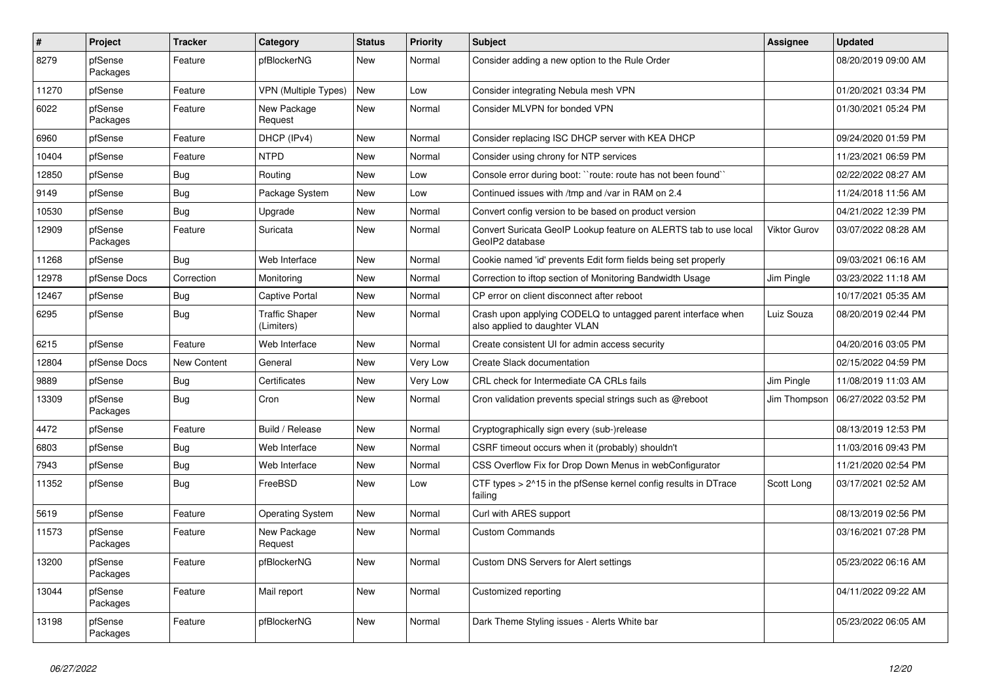| $\sharp$ | Project             | <b>Tracker</b> | Category                            | <b>Status</b> | Priority | <b>Subject</b>                                                                                | <b>Assignee</b>     | <b>Updated</b>      |
|----------|---------------------|----------------|-------------------------------------|---------------|----------|-----------------------------------------------------------------------------------------------|---------------------|---------------------|
| 8279     | pfSense<br>Packages | Feature        | pfBlockerNG                         | <b>New</b>    | Normal   | Consider adding a new option to the Rule Order                                                |                     | 08/20/2019 09:00 AM |
| 11270    | pfSense             | Feature        | <b>VPN (Multiple Types)</b>         | <b>New</b>    | Low      | Consider integrating Nebula mesh VPN                                                          |                     | 01/20/2021 03:34 PM |
| 6022     | pfSense<br>Packages | Feature        | New Package<br>Request              | <b>New</b>    | Normal   | Consider MLVPN for bonded VPN                                                                 |                     | 01/30/2021 05:24 PM |
| 6960     | pfSense             | Feature        | DHCP (IPv4)                         | <b>New</b>    | Normal   | Consider replacing ISC DHCP server with KEA DHCP                                              |                     | 09/24/2020 01:59 PM |
| 10404    | pfSense             | Feature        | <b>NTPD</b>                         | <b>New</b>    | Normal   | Consider using chrony for NTP services                                                        |                     | 11/23/2021 06:59 PM |
| 12850    | pfSense             | Bug            | Routing                             | <b>New</b>    | Low      | Console error during boot: ``route: route has not been found``                                |                     | 02/22/2022 08:27 AM |
| 9149     | pfSense             | <b>Bug</b>     | Package System                      | <b>New</b>    | Low      | Continued issues with /tmp and /var in RAM on 2.4                                             |                     | 11/24/2018 11:56 AM |
| 10530    | pfSense             | <b>Bug</b>     | Upgrade                             | <b>New</b>    | Normal   | Convert config version to be based on product version                                         |                     | 04/21/2022 12:39 PM |
| 12909    | pfSense<br>Packages | Feature        | Suricata                            | <b>New</b>    | Normal   | Convert Suricata GeoIP Lookup feature on ALERTS tab to use local<br>GeoIP2 database           | <b>Viktor Gurov</b> | 03/07/2022 08:28 AM |
| 11268    | pfSense             | Bug            | Web Interface                       | <b>New</b>    | Normal   | Cookie named 'id' prevents Edit form fields being set properly                                |                     | 09/03/2021 06:16 AM |
| 12978    | pfSense Docs        | Correction     | Monitoring                          | <b>New</b>    | Normal   | Correction to iftop section of Monitoring Bandwidth Usage                                     | Jim Pingle          | 03/23/2022 11:18 AM |
| 12467    | pfSense             | <b>Bug</b>     | <b>Captive Portal</b>               | <b>New</b>    | Normal   | CP error on client disconnect after reboot                                                    |                     | 10/17/2021 05:35 AM |
| 6295     | pfSense             | Bug            | <b>Traffic Shaper</b><br>(Limiters) | New           | Normal   | Crash upon applying CODELQ to untagged parent interface when<br>also applied to daughter VLAN | Luiz Souza          | 08/20/2019 02:44 PM |
| 6215     | pfSense             | Feature        | Web Interface                       | <b>New</b>    | Normal   | Create consistent UI for admin access security                                                |                     | 04/20/2016 03:05 PM |
| 12804    | pfSense Docs        | New Content    | General                             | New           | Very Low | Create Slack documentation                                                                    |                     | 02/15/2022 04:59 PM |
| 9889     | pfSense             | <b>Bug</b>     | Certificates                        | <b>New</b>    | Very Low | CRL check for Intermediate CA CRLs fails                                                      | Jim Pingle          | 11/08/2019 11:03 AM |
| 13309    | pfSense<br>Packages | Bug            | Cron                                | New           | Normal   | Cron validation prevents special strings such as @reboot                                      | Jim Thompson        | 06/27/2022 03:52 PM |
| 4472     | pfSense             | Feature        | Build / Release                     | <b>New</b>    | Normal   | Cryptographically sign every (sub-)release                                                    |                     | 08/13/2019 12:53 PM |
| 6803     | pfSense             | <b>Bug</b>     | Web Interface                       | <b>New</b>    | Normal   | CSRF timeout occurs when it (probably) shouldn't                                              |                     | 11/03/2016 09:43 PM |
| 7943     | pfSense             | Bug            | Web Interface                       | <b>New</b>    | Normal   | CSS Overflow Fix for Drop Down Menus in webConfigurator                                       |                     | 11/21/2020 02:54 PM |
| 11352    | pfSense             | Bug            | FreeBSD                             | <b>New</b>    | Low      | CTF types $> 215$ in the pfSense kernel config results in DTrace<br>failing                   | Scott Long          | 03/17/2021 02:52 AM |
| 5619     | pfSense             | Feature        | <b>Operating System</b>             | <b>New</b>    | Normal   | Curl with ARES support                                                                        |                     | 08/13/2019 02:56 PM |
| 11573    | pfSense<br>Packages | Feature        | New Package<br>Request              | <b>New</b>    | Normal   | <b>Custom Commands</b>                                                                        |                     | 03/16/2021 07:28 PM |
| 13200    | pfSense<br>Packages | Feature        | pfBlockerNG                         | <b>New</b>    | Normal   | Custom DNS Servers for Alert settings                                                         |                     | 05/23/2022 06:16 AM |
| 13044    | pfSense<br>Packages | Feature        | Mail report                         | <b>New</b>    | Normal   | Customized reporting                                                                          |                     | 04/11/2022 09:22 AM |
| 13198    | pfSense<br>Packages | Feature        | pfBlockerNG                         | <b>New</b>    | Normal   | Dark Theme Styling issues - Alerts White bar                                                  |                     | 05/23/2022 06:05 AM |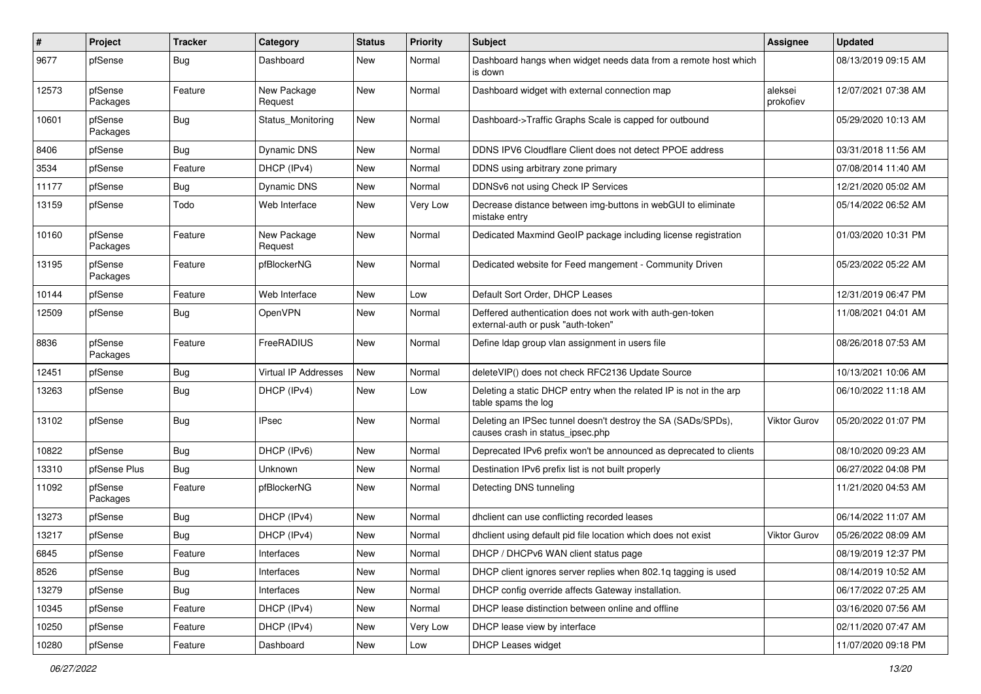| $\#$  | Project             | <b>Tracker</b> | Category               | <b>Status</b> | <b>Priority</b> | <b>Subject</b>                                                                                   | Assignee             | <b>Updated</b>      |
|-------|---------------------|----------------|------------------------|---------------|-----------------|--------------------------------------------------------------------------------------------------|----------------------|---------------------|
| 9677  | pfSense             | <b>Bug</b>     | Dashboard              | New           | Normal          | Dashboard hangs when widget needs data from a remote host which<br>is down                       |                      | 08/13/2019 09:15 AM |
| 12573 | pfSense<br>Packages | Feature        | New Package<br>Request | New           | Normal          | Dashboard widget with external connection map                                                    | aleksei<br>prokofiev | 12/07/2021 07:38 AM |
| 10601 | pfSense<br>Packages | <b>Bug</b>     | Status Monitoring      | New           | Normal          | Dashboard->Traffic Graphs Scale is capped for outbound                                           |                      | 05/29/2020 10:13 AM |
| 8406  | pfSense             | Bug            | Dynamic DNS            | New           | Normal          | DDNS IPV6 Cloudflare Client does not detect PPOE address                                         |                      | 03/31/2018 11:56 AM |
| 3534  | pfSense             | Feature        | DHCP (IPv4)            | New           | Normal          | DDNS using arbitrary zone primary                                                                |                      | 07/08/2014 11:40 AM |
| 11177 | pfSense             | <b>Bug</b>     | Dynamic DNS            | New           | Normal          | DDNSv6 not using Check IP Services                                                               |                      | 12/21/2020 05:02 AM |
| 13159 | pfSense             | Todo           | Web Interface          | New           | Very Low        | Decrease distance between img-buttons in webGUI to eliminate<br>mistake entry                    |                      | 05/14/2022 06:52 AM |
| 10160 | pfSense<br>Packages | Feature        | New Package<br>Request | New           | Normal          | Dedicated Maxmind GeoIP package including license registration                                   |                      | 01/03/2020 10:31 PM |
| 13195 | pfSense<br>Packages | Feature        | pfBlockerNG            | New           | Normal          | Dedicated website for Feed mangement - Community Driven                                          |                      | 05/23/2022 05:22 AM |
| 10144 | pfSense             | Feature        | Web Interface          | <b>New</b>    | Low             | Default Sort Order, DHCP Leases                                                                  |                      | 12/31/2019 06:47 PM |
| 12509 | pfSense             | <b>Bug</b>     | OpenVPN                | <b>New</b>    | Normal          | Deffered authentication does not work with auth-gen-token<br>external-auth or pusk "auth-token"  |                      | 11/08/2021 04:01 AM |
| 8836  | pfSense<br>Packages | Feature        | FreeRADIUS             | <b>New</b>    | Normal          | Define Idap group vlan assignment in users file                                                  |                      | 08/26/2018 07:53 AM |
| 12451 | pfSense             | Bug            | Virtual IP Addresses   | <b>New</b>    | Normal          | deleteVIP() does not check RFC2136 Update Source                                                 |                      | 10/13/2021 10:06 AM |
| 13263 | pfSense             | <b>Bug</b>     | DHCP (IPv4)            | New           | Low             | Deleting a static DHCP entry when the related IP is not in the arp<br>table spams the log        |                      | 06/10/2022 11:18 AM |
| 13102 | pfSense             | <b>Bug</b>     | <b>IPsec</b>           | New           | Normal          | Deleting an IPSec tunnel doesn't destroy the SA (SADs/SPDs),<br>causes crash in status ipsec.php | <b>Viktor Gurov</b>  | 05/20/2022 01:07 PM |
| 10822 | pfSense             | Bug            | DHCP (IPv6)            | <b>New</b>    | Normal          | Deprecated IPv6 prefix won't be announced as deprecated to clients                               |                      | 08/10/2020 09:23 AM |
| 13310 | pfSense Plus        | Bug            | Unknown                | New           | Normal          | Destination IPv6 prefix list is not built properly                                               |                      | 06/27/2022 04:08 PM |
| 11092 | pfSense<br>Packages | Feature        | pfBlockerNG            | New           | Normal          | Detecting DNS tunneling                                                                          |                      | 11/21/2020 04:53 AM |
| 13273 | pfSense             | <b>Bug</b>     | DHCP (IPv4)            | <b>New</b>    | Normal          | dhclient can use conflicting recorded leases                                                     |                      | 06/14/2022 11:07 AM |
| 13217 | pfSense             | <b>Bug</b>     | DHCP (IPv4)            | New           | Normal          | dhclient using default pid file location which does not exist                                    | Viktor Gurov         | 05/26/2022 08:09 AM |
| 6845  | pfSense             | Feature        | Interfaces             | New           | Normal          | DHCP / DHCPv6 WAN client status page                                                             |                      | 08/19/2019 12:37 PM |
| 8526  | pfSense             | <b>Bug</b>     | Interfaces             | New           | Normal          | DHCP client ignores server replies when 802.1g tagging is used                                   |                      | 08/14/2019 10:52 AM |
| 13279 | pfSense             | <b>Bug</b>     | Interfaces             | New           | Normal          | DHCP config override affects Gateway installation.                                               |                      | 06/17/2022 07:25 AM |
| 10345 | pfSense             | Feature        | DHCP (IPv4)            | New           | Normal          | DHCP lease distinction between online and offline                                                |                      | 03/16/2020 07:56 AM |
| 10250 | pfSense             | Feature        | DHCP (IPv4)            | New           | Very Low        | DHCP lease view by interface                                                                     |                      | 02/11/2020 07:47 AM |
| 10280 | pfSense             | Feature        | Dashboard              | New           | Low             | DHCP Leases widget                                                                               |                      | 11/07/2020 09:18 PM |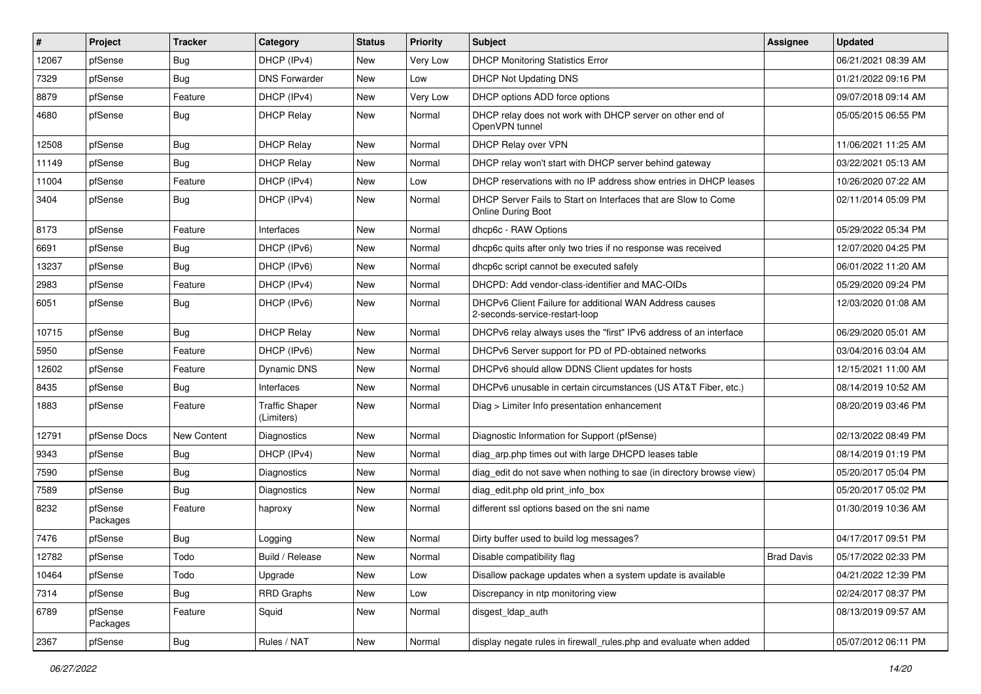| $\vert$ # | Project             | <b>Tracker</b> | Category                            | <b>Status</b> | <b>Priority</b> | Subject                                                                                   | Assignee          | <b>Updated</b>      |
|-----------|---------------------|----------------|-------------------------------------|---------------|-----------------|-------------------------------------------------------------------------------------------|-------------------|---------------------|
| 12067     | pfSense             | <b>Bug</b>     | DHCP (IPv4)                         | New           | Very Low        | <b>DHCP Monitoring Statistics Error</b>                                                   |                   | 06/21/2021 08:39 AM |
| 7329      | pfSense             | Bug            | <b>DNS Forwarder</b>                | New           | Low             | DHCP Not Updating DNS                                                                     |                   | 01/21/2022 09:16 PM |
| 8879      | pfSense             | Feature        | DHCP (IPv4)                         | New           | Very Low        | DHCP options ADD force options                                                            |                   | 09/07/2018 09:14 AM |
| 4680      | pfSense             | <b>Bug</b>     | <b>DHCP Relay</b>                   | New           | Normal          | DHCP relay does not work with DHCP server on other end of<br>OpenVPN tunnel               |                   | 05/05/2015 06:55 PM |
| 12508     | pfSense             | Bug            | <b>DHCP Relay</b>                   | <b>New</b>    | Normal          | DHCP Relay over VPN                                                                       |                   | 11/06/2021 11:25 AM |
| 11149     | pfSense             | Bug            | <b>DHCP Relay</b>                   | New           | Normal          | DHCP relay won't start with DHCP server behind gateway                                    |                   | 03/22/2021 05:13 AM |
| 11004     | pfSense             | Feature        | DHCP (IPv4)                         | New           | Low             | DHCP reservations with no IP address show entries in DHCP leases                          |                   | 10/26/2020 07:22 AM |
| 3404      | pfSense             | Bug            | DHCP (IPv4)                         | New           | Normal          | DHCP Server Fails to Start on Interfaces that are Slow to Come<br>Online During Boot      |                   | 02/11/2014 05:09 PM |
| 8173      | pfSense             | Feature        | Interfaces                          | New           | Normal          | dhcp6c - RAW Options                                                                      |                   | 05/29/2022 05:34 PM |
| 6691      | pfSense             | <b>Bug</b>     | DHCP (IPv6)                         | New           | Normal          | dhcp6c quits after only two tries if no response was received                             |                   | 12/07/2020 04:25 PM |
| 13237     | pfSense             | Bug            | DHCP (IPv6)                         | New           | Normal          | dhcp6c script cannot be executed safely                                                   |                   | 06/01/2022 11:20 AM |
| 2983      | pfSense             | Feature        | DHCP (IPv4)                         | New           | Normal          | DHCPD: Add vendor-class-identifier and MAC-OIDs                                           |                   | 05/29/2020 09:24 PM |
| 6051      | pfSense             | <b>Bug</b>     | DHCP (IPv6)                         | New           | Normal          | DHCPv6 Client Failure for additional WAN Address causes<br>2-seconds-service-restart-loop |                   | 12/03/2020 01:08 AM |
| 10715     | pfSense             | Bug            | <b>DHCP Relay</b>                   | New           | Normal          | DHCPv6 relay always uses the "first" IPv6 address of an interface                         |                   | 06/29/2020 05:01 AM |
| 5950      | pfSense             | Feature        | DHCP (IPv6)                         | New           | Normal          | DHCPv6 Server support for PD of PD-obtained networks                                      |                   | 03/04/2016 03:04 AM |
| 12602     | pfSense             | Feature        | Dynamic DNS                         | New           | Normal          | DHCPv6 should allow DDNS Client updates for hosts                                         |                   | 12/15/2021 11:00 AM |
| 8435      | pfSense             | Bug            | Interfaces                          | New           | Normal          | DHCPv6 unusable in certain circumstances (US AT&T Fiber, etc.)                            |                   | 08/14/2019 10:52 AM |
| 1883      | pfSense             | Feature        | <b>Traffic Shaper</b><br>(Limiters) | New           | Normal          | Diag > Limiter Info presentation enhancement                                              |                   | 08/20/2019 03:46 PM |
| 12791     | pfSense Docs        | New Content    | Diagnostics                         | New           | Normal          | Diagnostic Information for Support (pfSense)                                              |                   | 02/13/2022 08:49 PM |
| 9343      | pfSense             | Bug            | DHCP (IPv4)                         | New           | Normal          | diag_arp.php times out with large DHCPD leases table                                      |                   | 08/14/2019 01:19 PM |
| 7590      | pfSense             | Bug            | <b>Diagnostics</b>                  | New           | Normal          | diag_edit do not save when nothing to sae (in directory browse view)                      |                   | 05/20/2017 05:04 PM |
| 7589      | pfSense             | <b>Bug</b>     | Diagnostics                         | New           | Normal          | diag edit.php old print info box                                                          |                   | 05/20/2017 05:02 PM |
| 8232      | pfSense<br>Packages | Feature        | haproxy                             | New           | Normal          | different ssl options based on the sni name                                               |                   | 01/30/2019 10:36 AM |
| 7476      | pfSense             | <b>Bug</b>     | Logging                             | New           | Normal          | Dirty buffer used to build log messages?                                                  |                   | 04/17/2017 09:51 PM |
| 12782     | pfSense             | Todo           | Build / Release                     | New           | Normal          | Disable compatibility flag                                                                | <b>Brad Davis</b> | 05/17/2022 02:33 PM |
| 10464     | pfSense             | Todo           | Upgrade                             | New           | Low             | Disallow package updates when a system update is available                                |                   | 04/21/2022 12:39 PM |
| 7314      | pfSense             | <b>Bug</b>     | <b>RRD Graphs</b>                   | New           | Low             | Discrepancy in ntp monitoring view                                                        |                   | 02/24/2017 08:37 PM |
| 6789      | pfSense<br>Packages | Feature        | Squid                               | New           | Normal          | disgest_ldap_auth                                                                         |                   | 08/13/2019 09:57 AM |
| 2367      | pfSense             | <b>Bug</b>     | Rules / NAT                         | New           | Normal          | display negate rules in firewall_rules.php and evaluate when added                        |                   | 05/07/2012 06:11 PM |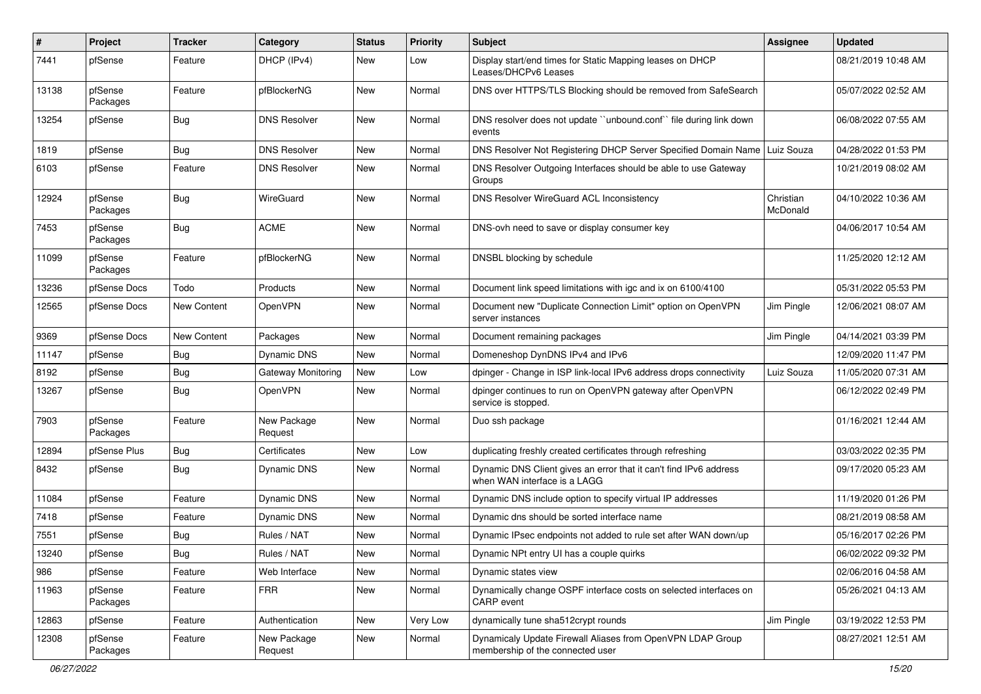| ∦     | Project             | <b>Tracker</b>     | Category                  | <b>Status</b> | <b>Priority</b> | Subject                                                                                           | Assignee              | <b>Updated</b>      |
|-------|---------------------|--------------------|---------------------------|---------------|-----------------|---------------------------------------------------------------------------------------------------|-----------------------|---------------------|
| 7441  | pfSense             | Feature            | DHCP (IPv4)               | New           | Low             | Display start/end times for Static Mapping leases on DHCP<br>Leases/DHCPv6 Leases                 |                       | 08/21/2019 10:48 AM |
| 13138 | pfSense<br>Packages | Feature            | pfBlockerNG               | <b>New</b>    | Normal          | DNS over HTTPS/TLS Blocking should be removed from SafeSearch                                     |                       | 05/07/2022 02:52 AM |
| 13254 | pfSense             | <b>Bug</b>         | <b>DNS Resolver</b>       | New           | Normal          | DNS resolver does not update "unbound.conf" file during link down<br>events                       |                       | 06/08/2022 07:55 AM |
| 1819  | pfSense             | Bug                | <b>DNS Resolver</b>       | New           | Normal          | DNS Resolver Not Registering DHCP Server Specified Domain Name   Luiz Souza                       |                       | 04/28/2022 01:53 PM |
| 6103  | pfSense             | Feature            | <b>DNS Resolver</b>       | <b>New</b>    | Normal          | DNS Resolver Outgoing Interfaces should be able to use Gateway<br>Groups                          |                       | 10/21/2019 08:02 AM |
| 12924 | pfSense<br>Packages | <b>Bug</b>         | WireGuard                 | New           | Normal          | DNS Resolver WireGuard ACL Inconsistency                                                          | Christian<br>McDonald | 04/10/2022 10:36 AM |
| 7453  | pfSense<br>Packages | <b>Bug</b>         | <b>ACME</b>               | New           | Normal          | DNS-ovh need to save or display consumer key                                                      |                       | 04/06/2017 10:54 AM |
| 11099 | pfSense<br>Packages | Feature            | pfBlockerNG               | New           | Normal          | DNSBL blocking by schedule                                                                        |                       | 11/25/2020 12:12 AM |
| 13236 | pfSense Docs        | Todo               | Products                  | New           | Normal          | Document link speed limitations with igc and ix on 6100/4100                                      |                       | 05/31/2022 05:53 PM |
| 12565 | pfSense Docs        | <b>New Content</b> | OpenVPN                   | New           | Normal          | Document new "Duplicate Connection Limit" option on OpenVPN<br>server instances                   | Jim Pingle            | 12/06/2021 08:07 AM |
| 9369  | pfSense Docs        | New Content        | Packages                  | <b>New</b>    | Normal          | Document remaining packages                                                                       | Jim Pingle            | 04/14/2021 03:39 PM |
| 11147 | pfSense             | <b>Bug</b>         | Dynamic DNS               | New           | Normal          | Domeneshop DynDNS IPv4 and IPv6                                                                   |                       | 12/09/2020 11:47 PM |
| 8192  | pfSense             | <b>Bug</b>         | <b>Gateway Monitoring</b> | <b>New</b>    | Low             | dpinger - Change in ISP link-local IPv6 address drops connectivity                                | Luiz Souza            | 11/05/2020 07:31 AM |
| 13267 | pfSense             | <b>Bug</b>         | OpenVPN                   | New           | Normal          | dpinger continues to run on OpenVPN gateway after OpenVPN<br>service is stopped.                  |                       | 06/12/2022 02:49 PM |
| 7903  | pfSense<br>Packages | Feature            | New Package<br>Request    | New           | Normal          | Duo ssh package                                                                                   |                       | 01/16/2021 12:44 AM |
| 12894 | pfSense Plus        | Bug                | Certificates              | New           | Low             | duplicating freshly created certificates through refreshing                                       |                       | 03/03/2022 02:35 PM |
| 8432  | pfSense             | <b>Bug</b>         | Dynamic DNS               | New           | Normal          | Dynamic DNS Client gives an error that it can't find IPv6 address<br>when WAN interface is a LAGG |                       | 09/17/2020 05:23 AM |
| 11084 | pfSense             | Feature            | Dynamic DNS               | New           | Normal          | Dynamic DNS include option to specify virtual IP addresses                                        |                       | 11/19/2020 01:26 PM |
| 7418  | pfSense             | Feature            | Dynamic DNS               | New           | Normal          | Dynamic dns should be sorted interface name                                                       |                       | 08/21/2019 08:58 AM |
| 7551  | pfSense             | Bug                | Rules / NAT               | New           | Normal          | Dynamic IPsec endpoints not added to rule set after WAN down/up                                   |                       | 05/16/2017 02:26 PM |
| 13240 | pfSense             | Bug                | Rules / NAT               | New           | Normal          | Dynamic NPt entry UI has a couple quirks                                                          |                       | 06/02/2022 09:32 PM |
| 986   | pfSense             | Feature            | Web Interface             | New           | Normal          | Dynamic states view                                                                               |                       | 02/06/2016 04:58 AM |
| 11963 | pfSense<br>Packages | Feature            | <b>FRR</b>                | New           | Normal          | Dynamically change OSPF interface costs on selected interfaces on<br><b>CARP</b> event            |                       | 05/26/2021 04:13 AM |
| 12863 | pfSense             | Feature            | Authentication            | New           | Very Low        | dynamically tune sha512crypt rounds                                                               | Jim Pingle            | 03/19/2022 12:53 PM |
| 12308 | pfSense<br>Packages | Feature            | New Package<br>Request    | New           | Normal          | Dynamicaly Update Firewall Aliases from OpenVPN LDAP Group<br>membership of the connected user    |                       | 08/27/2021 12:51 AM |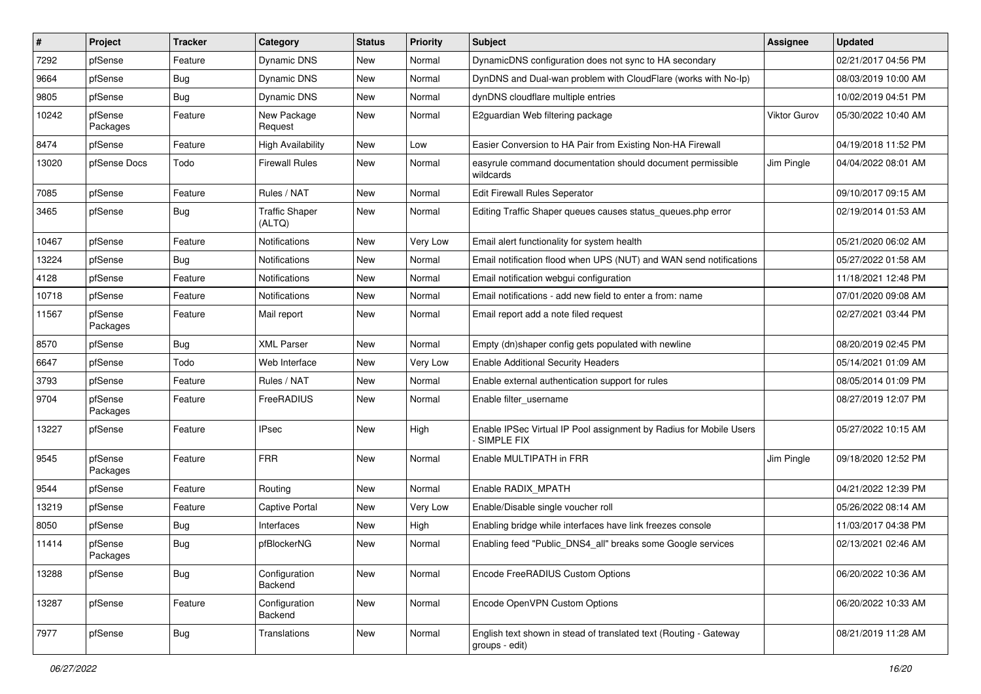| #     | Project             | <b>Tracker</b> | Category                        | <b>Status</b> | <b>Priority</b> | Subject                                                                             | Assignee            | <b>Updated</b>      |
|-------|---------------------|----------------|---------------------------------|---------------|-----------------|-------------------------------------------------------------------------------------|---------------------|---------------------|
| 7292  | pfSense             | Feature        | Dynamic DNS                     | <b>New</b>    | Normal          | DynamicDNS configuration does not sync to HA secondary                              |                     | 02/21/2017 04:56 PM |
| 9664  | pfSense             | <b>Bug</b>     | Dynamic DNS                     | <b>New</b>    | Normal          | DynDNS and Dual-wan problem with CloudFlare (works with No-Ip)                      |                     | 08/03/2019 10:00 AM |
| 9805  | pfSense             | <b>Bug</b>     | <b>Dynamic DNS</b>              | <b>New</b>    | Normal          | dynDNS cloudflare multiple entries                                                  |                     | 10/02/2019 04:51 PM |
| 10242 | pfSense<br>Packages | Feature        | New Package<br>Request          | New           | Normal          | E2guardian Web filtering package                                                    | <b>Viktor Gurov</b> | 05/30/2022 10:40 AM |
| 8474  | pfSense             | Feature        | High Availability               | New           | Low             | Easier Conversion to HA Pair from Existing Non-HA Firewall                          |                     | 04/19/2018 11:52 PM |
| 13020 | pfSense Docs        | Todo           | <b>Firewall Rules</b>           | New           | Normal          | easyrule command documentation should document permissible<br>wildcards             | Jim Pingle          | 04/04/2022 08:01 AM |
| 7085  | pfSense             | Feature        | Rules / NAT                     | <b>New</b>    | Normal          | Edit Firewall Rules Seperator                                                       |                     | 09/10/2017 09:15 AM |
| 3465  | pfSense             | <b>Bug</b>     | <b>Traffic Shaper</b><br>(ALTQ) | New           | Normal          | Editing Traffic Shaper queues causes status queues.php error                        |                     | 02/19/2014 01:53 AM |
| 10467 | pfSense             | Feature        | Notifications                   | <b>New</b>    | Very Low        | Email alert functionality for system health                                         |                     | 05/21/2020 06:02 AM |
| 13224 | pfSense             | <b>Bug</b>     | Notifications                   | <b>New</b>    | Normal          | Email notification flood when UPS (NUT) and WAN send notifications                  |                     | 05/27/2022 01:58 AM |
| 4128  | pfSense             | Feature        | Notifications                   | New           | Normal          | Email notification webgui configuration                                             |                     | 11/18/2021 12:48 PM |
| 10718 | pfSense             | Feature        | Notifications                   | New           | Normal          | Email notifications - add new field to enter a from: name                           |                     | 07/01/2020 09:08 AM |
| 11567 | pfSense<br>Packages | Feature        | Mail report                     | <b>New</b>    | Normal          | Email report add a note filed request                                               |                     | 02/27/2021 03:44 PM |
| 8570  | pfSense             | <b>Bug</b>     | <b>XML Parser</b>               | <b>New</b>    | Normal          | Empty (dn)shaper config gets populated with newline                                 |                     | 08/20/2019 02:45 PM |
| 6647  | pfSense             | Todo           | Web Interface                   | New           | Very Low        | <b>Enable Additional Security Headers</b>                                           |                     | 05/14/2021 01:09 AM |
| 3793  | pfSense             | Feature        | Rules / NAT                     | New           | Normal          | Enable external authentication support for rules                                    |                     | 08/05/2014 01:09 PM |
| 9704  | pfSense<br>Packages | Feature        | FreeRADIUS                      | New           | Normal          | Enable filter username                                                              |                     | 08/27/2019 12:07 PM |
| 13227 | pfSense             | Feature        | <b>IPsec</b>                    | <b>New</b>    | High            | Enable IPSec Virtual IP Pool assignment by Radius for Mobile Users<br>SIMPLE FIX    |                     | 05/27/2022 10:15 AM |
| 9545  | pfSense<br>Packages | Feature        | <b>FRR</b>                      | New           | Normal          | Enable MULTIPATH in FRR                                                             | Jim Pingle          | 09/18/2020 12:52 PM |
| 9544  | pfSense             | Feature        | Routing                         | <b>New</b>    | Normal          | Enable RADIX_MPATH                                                                  |                     | 04/21/2022 12:39 PM |
| 13219 | pfSense             | Feature        | Captive Portal                  | New           | Very Low        | Enable/Disable single voucher roll                                                  |                     | 05/26/2022 08:14 AM |
| 8050  | pfSense             | <b>Bug</b>     | Interfaces                      | New           | High            | Enabling bridge while interfaces have link freezes console                          |                     | 11/03/2017 04:38 PM |
| 11414 | pfSense<br>Packages | <b>Bug</b>     | pfBlockerNG                     | New           | Normal          | Enabling feed "Public DNS4 all" breaks some Google services                         |                     | 02/13/2021 02:46 AM |
| 13288 | pfSense             | <b>Bug</b>     | Configuration<br>Backend        | New           | Normal          | Encode FreeRADIUS Custom Options                                                    |                     | 06/20/2022 10:36 AM |
| 13287 | pfSense             | Feature        | Configuration<br>Backend        | New           | Normal          | Encode OpenVPN Custom Options                                                       |                     | 06/20/2022 10:33 AM |
| 7977  | pfSense             | <b>Bug</b>     | Translations                    | New           | Normal          | English text shown in stead of translated text (Routing - Gateway<br>groups - edit) |                     | 08/21/2019 11:28 AM |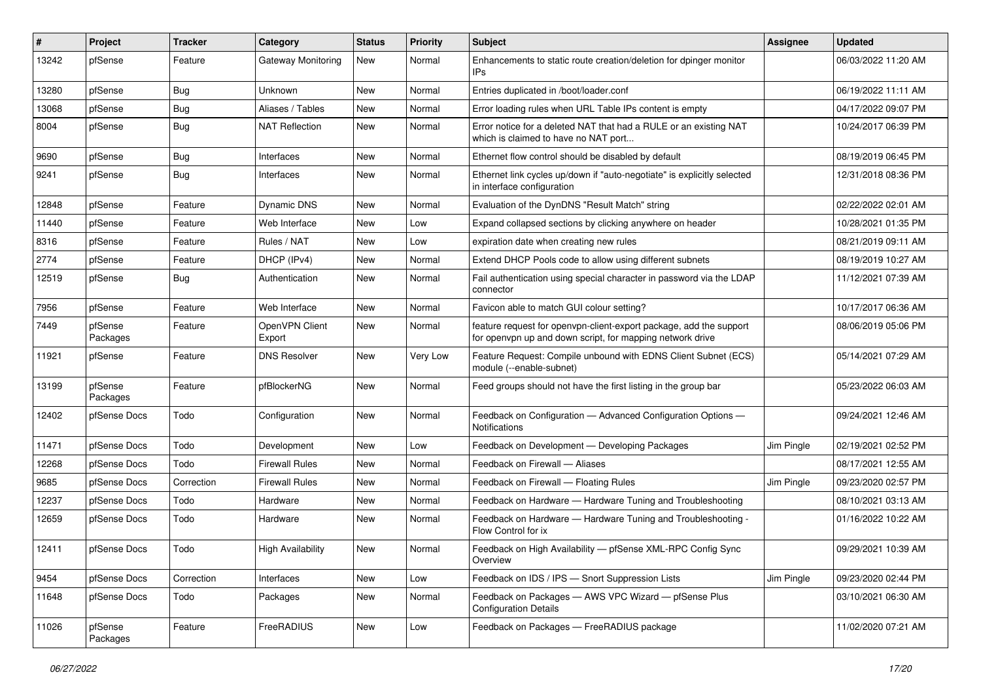| #     | Project             | <b>Tracker</b> | Category                 | <b>Status</b> | <b>Priority</b> | <b>Subject</b>                                                                                                                  | Assignee   | <b>Updated</b>      |
|-------|---------------------|----------------|--------------------------|---------------|-----------------|---------------------------------------------------------------------------------------------------------------------------------|------------|---------------------|
| 13242 | pfSense             | Feature        | Gateway Monitoring       | New           | Normal          | Enhancements to static route creation/deletion for dpinger monitor<br>IPs                                                       |            | 06/03/2022 11:20 AM |
| 13280 | pfSense             | Bug            | <b>Unknown</b>           | <b>New</b>    | Normal          | Entries duplicated in /boot/loader.conf                                                                                         |            | 06/19/2022 11:11 AM |
| 13068 | pfSense             | <b>Bug</b>     | Aliases / Tables         | <b>New</b>    | Normal          | Error loading rules when URL Table IPs content is empty                                                                         |            | 04/17/2022 09:07 PM |
| 8004  | pfSense             | Bug            | <b>NAT Reflection</b>    | <b>New</b>    | Normal          | Error notice for a deleted NAT that had a RULE or an existing NAT<br>which is claimed to have no NAT port                       |            | 10/24/2017 06:39 PM |
| 9690  | pfSense             | Bug            | Interfaces               | New           | Normal          | Ethernet flow control should be disabled by default                                                                             |            | 08/19/2019 06:45 PM |
| 9241  | pfSense             | Bug            | Interfaces               | <b>New</b>    | Normal          | Ethernet link cycles up/down if "auto-negotiate" is explicitly selected<br>in interface configuration                           |            | 12/31/2018 08:36 PM |
| 12848 | pfSense             | Feature        | Dynamic DNS              | <b>New</b>    | Normal          | Evaluation of the DynDNS "Result Match" string                                                                                  |            | 02/22/2022 02:01 AM |
| 11440 | pfSense             | Feature        | Web Interface            | New           | Low             | Expand collapsed sections by clicking anywhere on header                                                                        |            | 10/28/2021 01:35 PM |
| 8316  | pfSense             | Feature        | Rules / NAT              | New           | Low             | expiration date when creating new rules                                                                                         |            | 08/21/2019 09:11 AM |
| 2774  | pfSense             | Feature        | DHCP (IPv4)              | New           | Normal          | Extend DHCP Pools code to allow using different subnets                                                                         |            | 08/19/2019 10:27 AM |
| 12519 | pfSense             | <b>Bug</b>     | Authentication           | New           | Normal          | Fail authentication using special character in password via the LDAP<br>connector                                               |            | 11/12/2021 07:39 AM |
| 7956  | pfSense             | Feature        | Web Interface            | New           | Normal          | Favicon able to match GUI colour setting?                                                                                       |            | 10/17/2017 06:36 AM |
| 7449  | pfSense<br>Packages | Feature        | OpenVPN Client<br>Export | <b>New</b>    | Normal          | feature request for openvpn-client-export package, add the support<br>for openypn up and down script, for mapping network drive |            | 08/06/2019 05:06 PM |
| 11921 | pfSense             | Feature        | <b>DNS Resolver</b>      | New           | Very Low        | Feature Request: Compile unbound with EDNS Client Subnet (ECS)<br>module (--enable-subnet)                                      |            | 05/14/2021 07:29 AM |
| 13199 | pfSense<br>Packages | Feature        | pfBlockerNG              | New           | Normal          | Feed groups should not have the first listing in the group bar                                                                  |            | 05/23/2022 06:03 AM |
| 12402 | pfSense Docs        | Todo           | Configuration            | New           | Normal          | Feedback on Configuration - Advanced Configuration Options -<br><b>Notifications</b>                                            |            | 09/24/2021 12:46 AM |
| 11471 | pfSense Docs        | Todo           | Development              | New           | Low             | Feedback on Development - Developing Packages                                                                                   | Jim Pingle | 02/19/2021 02:52 PM |
| 12268 | pfSense Docs        | Todo           | <b>Firewall Rules</b>    | <b>New</b>    | Normal          | Feedback on Firewall - Aliases                                                                                                  |            | 08/17/2021 12:55 AM |
| 9685  | pfSense Docs        | Correction     | <b>Firewall Rules</b>    | New           | Normal          | Feedback on Firewall - Floating Rules                                                                                           | Jim Pingle | 09/23/2020 02:57 PM |
| 12237 | pfSense Docs        | Todo           | Hardware                 | New           | Normal          | Feedback on Hardware - Hardware Tuning and Troubleshooting                                                                      |            | 08/10/2021 03:13 AM |
| 12659 | pfSense Docs        | Todo           | Hardware                 | New           | Normal          | Feedback on Hardware - Hardware Tuning and Troubleshooting -<br>Flow Control for ix                                             |            | 01/16/2022 10:22 AM |
| 12411 | pfSense Docs        | Todo           | <b>High Availability</b> | New           | Normal          | Feedback on High Availability - pfSense XML-RPC Config Sync<br>Overview                                                         |            | 09/29/2021 10:39 AM |
| 9454  | pfSense Docs        | Correction     | Interfaces               | New           | Low             | Feedback on IDS / IPS - Snort Suppression Lists                                                                                 | Jim Pingle | 09/23/2020 02:44 PM |
| 11648 | pfSense Docs        | Todo           | Packages                 | New           | Normal          | Feedback on Packages - AWS VPC Wizard - pfSense Plus<br><b>Configuration Details</b>                                            |            | 03/10/2021 06:30 AM |
| 11026 | pfSense<br>Packages | Feature        | FreeRADIUS               | New           | Low             | Feedback on Packages - FreeRADIUS package                                                                                       |            | 11/02/2020 07:21 AM |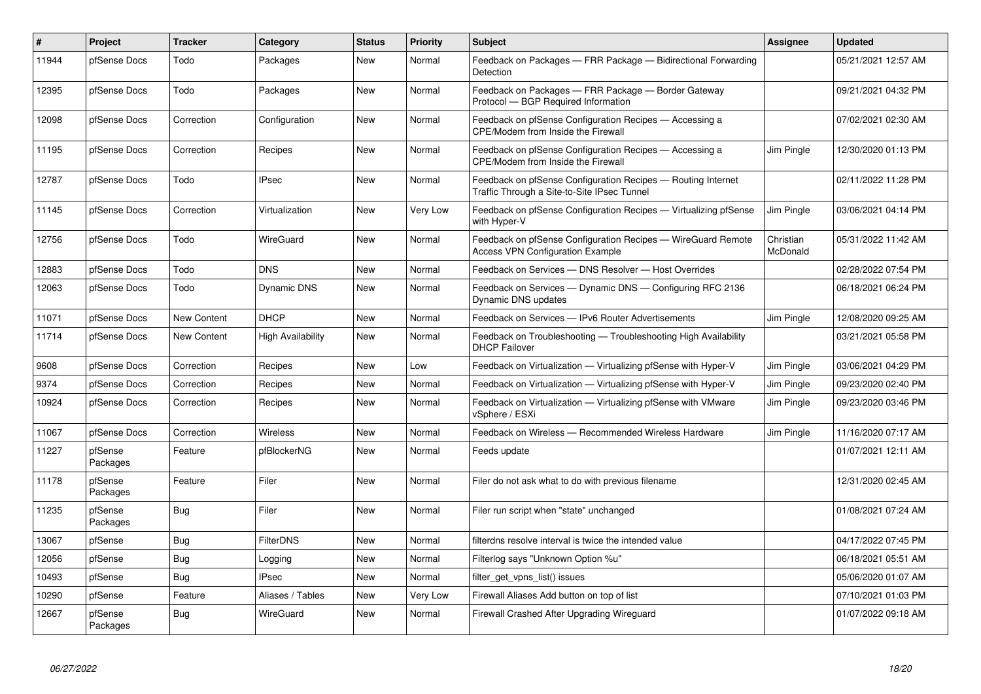| $\vert$ # | Project             | <b>Tracker</b> | Category                 | <b>Status</b> | <b>Priority</b> | <b>Subject</b>                                                                                              | <b>Assignee</b>       | <b>Updated</b>      |
|-----------|---------------------|----------------|--------------------------|---------------|-----------------|-------------------------------------------------------------------------------------------------------------|-----------------------|---------------------|
| 11944     | pfSense Docs        | Todo           | Packages                 | <b>New</b>    | Normal          | Feedback on Packages - FRR Package - Bidirectional Forwarding<br>Detection                                  |                       | 05/21/2021 12:57 AM |
| 12395     | pfSense Docs        | Todo           | Packages                 | New           | Normal          | Feedback on Packages - FRR Package - Border Gateway<br>Protocol - BGP Required Information                  |                       | 09/21/2021 04:32 PM |
| 12098     | pfSense Docs        | Correction     | Configuration            | <b>New</b>    | Normal          | Feedback on pfSense Configuration Recipes - Accessing a<br>CPE/Modem from Inside the Firewall               |                       | 07/02/2021 02:30 AM |
| 11195     | pfSense Docs        | Correction     | Recipes                  | New           | Normal          | Feedback on pfSense Configuration Recipes - Accessing a<br>CPE/Modem from Inside the Firewall               | Jim Pingle            | 12/30/2020 01:13 PM |
| 12787     | pfSense Docs        | Todo           | <b>IPsec</b>             | <b>New</b>    | Normal          | Feedback on pfSense Configuration Recipes - Routing Internet<br>Traffic Through a Site-to-Site IPsec Tunnel |                       | 02/11/2022 11:28 PM |
| 11145     | pfSense Docs        | Correction     | Virtualization           | <b>New</b>    | Very Low        | Feedback on pfSense Configuration Recipes - Virtualizing pfSense<br>with Hyper-V                            | Jim Pingle            | 03/06/2021 04:14 PM |
| 12756     | pfSense Docs        | Todo           | WireGuard                | <b>New</b>    | Normal          | Feedback on pfSense Configuration Recipes - WireGuard Remote<br><b>Access VPN Configuration Example</b>     | Christian<br>McDonald | 05/31/2022 11:42 AM |
| 12883     | pfSense Docs        | Todo           | <b>DNS</b>               | <b>New</b>    | Normal          | Feedback on Services - DNS Resolver - Host Overrides                                                        |                       | 02/28/2022 07:54 PM |
| 12063     | pfSense Docs        | Todo           | <b>Dynamic DNS</b>       | <b>New</b>    | Normal          | Feedback on Services - Dynamic DNS - Configuring RFC 2136<br>Dynamic DNS updates                            |                       | 06/18/2021 06:24 PM |
| 11071     | pfSense Docs        | New Content    | <b>DHCP</b>              | New           | Normal          | Feedback on Services - IPv6 Router Advertisements                                                           | Jim Pingle            | 12/08/2020 09:25 AM |
| 11714     | pfSense Docs        | New Content    | <b>High Availability</b> | <b>New</b>    | Normal          | Feedback on Troubleshooting - Troubleshooting High Availability<br><b>DHCP Failover</b>                     |                       | 03/21/2021 05:58 PM |
| 9608      | pfSense Docs        | Correction     | Recipes                  | <b>New</b>    | Low             | Feedback on Virtualization - Virtualizing pfSense with Hyper-V                                              | Jim Pingle            | 03/06/2021 04:29 PM |
| 9374      | pfSense Docs        | Correction     | Recipes                  | New           | Normal          | Feedback on Virtualization - Virtualizing pfSense with Hyper-V                                              | Jim Pingle            | 09/23/2020 02:40 PM |
| 10924     | pfSense Docs        | Correction     | Recipes                  | <b>New</b>    | Normal          | Feedback on Virtualization - Virtualizing pfSense with VMware<br>vSphere / ESXi                             | Jim Pingle            | 09/23/2020 03:46 PM |
| 11067     | pfSense Docs        | Correction     | <b>Wireless</b>          | <b>New</b>    | Normal          | Feedback on Wireless - Recommended Wireless Hardware                                                        | Jim Pingle            | 11/16/2020 07:17 AM |
| 11227     | pfSense<br>Packages | Feature        | pfBlockerNG              | <b>New</b>    | Normal          | Feeds update                                                                                                |                       | 01/07/2021 12:11 AM |
| 11178     | pfSense<br>Packages | Feature        | Filer                    | New           | Normal          | Filer do not ask what to do with previous filename                                                          |                       | 12/31/2020 02:45 AM |
| 11235     | pfSense<br>Packages | Bug            | Filer                    | New           | Normal          | Filer run script when "state" unchanged                                                                     |                       | 01/08/2021 07:24 AM |
| 13067     | pfSense             | <b>Bug</b>     | <b>FilterDNS</b>         | New           | Normal          | filterdns resolve interval is twice the intended value                                                      |                       | 04/17/2022 07:45 PM |
| 12056     | pfSense             | Bug            | Logging                  | New           | Normal          | Filterlog says "Unknown Option %u"                                                                          |                       | 06/18/2021 05:51 AM |
| 10493     | pfSense             | <b>Bug</b>     | <b>IPsec</b>             | <b>New</b>    | Normal          | filter get vpns list() issues                                                                               |                       | 05/06/2020 01:07 AM |
| 10290     | pfSense             | Feature        | Aliases / Tables         | New           | Very Low        | Firewall Aliases Add button on top of list                                                                  |                       | 07/10/2021 01:03 PM |
| 12667     | pfSense<br>Packages | <b>Bug</b>     | WireGuard                | <b>New</b>    | Normal          | Firewall Crashed After Upgrading Wireguard                                                                  |                       | 01/07/2022 09:18 AM |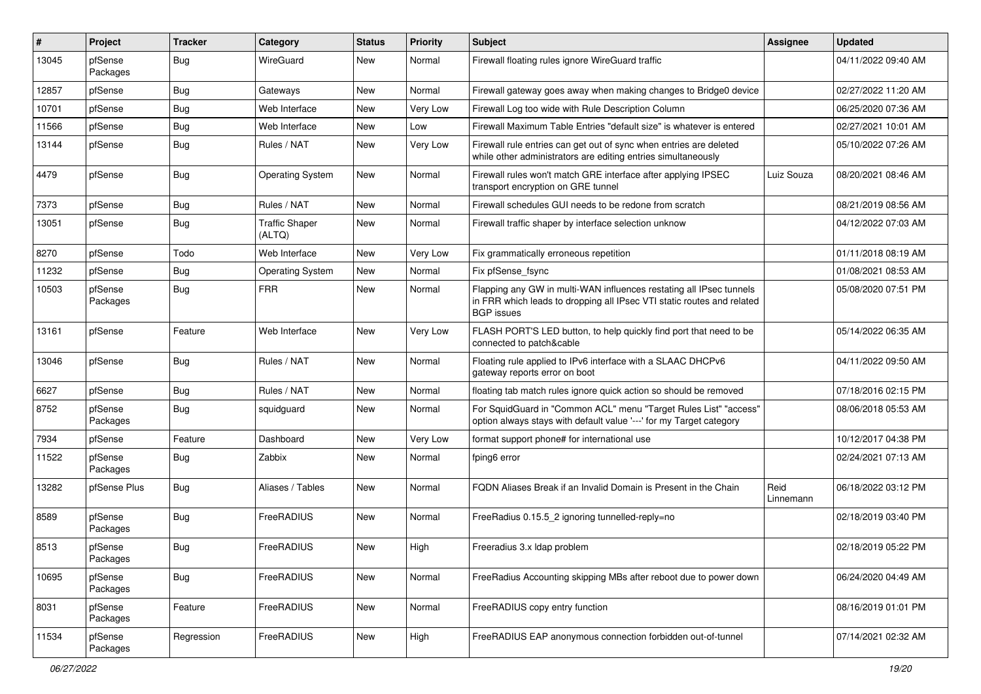| #     | Project             | <b>Tracker</b> | Category                        | <b>Status</b> | <b>Priority</b> | <b>Subject</b>                                                                                                                                                     | Assignee          | <b>Updated</b>      |
|-------|---------------------|----------------|---------------------------------|---------------|-----------------|--------------------------------------------------------------------------------------------------------------------------------------------------------------------|-------------------|---------------------|
| 13045 | pfSense<br>Packages | Bug            | WireGuard                       | New           | Normal          | Firewall floating rules ignore WireGuard traffic                                                                                                                   |                   | 04/11/2022 09:40 AM |
| 12857 | pfSense             | <b>Bug</b>     | Gateways                        | <b>New</b>    | Normal          | Firewall gateway goes away when making changes to Bridge0 device                                                                                                   |                   | 02/27/2022 11:20 AM |
| 10701 | pfSense             | <b>Bug</b>     | Web Interface                   | <b>New</b>    | Very Low        | Firewall Log too wide with Rule Description Column                                                                                                                 |                   | 06/25/2020 07:36 AM |
| 11566 | pfSense             | <b>Bug</b>     | Web Interface                   | <b>New</b>    | Low             | Firewall Maximum Table Entries "default size" is whatever is entered                                                                                               |                   | 02/27/2021 10:01 AM |
| 13144 | pfSense             | Bug            | Rules / NAT                     | <b>New</b>    | Very Low        | Firewall rule entries can get out of sync when entries are deleted<br>while other administrators are editing entries simultaneously                                |                   | 05/10/2022 07:26 AM |
| 4479  | pfSense             | Bug            | <b>Operating System</b>         | New           | Normal          | Firewall rules won't match GRE interface after applying IPSEC<br>transport encryption on GRE tunnel                                                                | Luiz Souza        | 08/20/2021 08:46 AM |
| 7373  | pfSense             | <b>Bug</b>     | Rules / NAT                     | <b>New</b>    | Normal          | Firewall schedules GUI needs to be redone from scratch                                                                                                             |                   | 08/21/2019 08:56 AM |
| 13051 | pfSense             | Bug            | <b>Traffic Shaper</b><br>(ALTQ) | New           | Normal          | Firewall traffic shaper by interface selection unknow                                                                                                              |                   | 04/12/2022 07:03 AM |
| 8270  | pfSense             | Todo           | Web Interface                   | <b>New</b>    | Very Low        | Fix grammatically erroneous repetition                                                                                                                             |                   | 01/11/2018 08:19 AM |
| 11232 | pfSense             | <b>Bug</b>     | <b>Operating System</b>         | <b>New</b>    | Normal          | Fix pfSense_fsync                                                                                                                                                  |                   | 01/08/2021 08:53 AM |
| 10503 | pfSense<br>Packages | Bug            | <b>FRR</b>                      | New           | Normal          | Flapping any GW in multi-WAN influences restating all IPsec tunnels<br>in FRR which leads to dropping all IPsec VTI static routes and related<br><b>BGP</b> issues |                   | 05/08/2020 07:51 PM |
| 13161 | pfSense             | Feature        | Web Interface                   | New           | Very Low        | FLASH PORT'S LED button, to help quickly find port that need to be<br>connected to patch&cable                                                                     |                   | 05/14/2022 06:35 AM |
| 13046 | pfSense             | <b>Bug</b>     | Rules / NAT                     | New           | Normal          | Floating rule applied to IPv6 interface with a SLAAC DHCPv6<br>gateway reports error on boot                                                                       |                   | 04/11/2022 09:50 AM |
| 6627  | pfSense             | Bug            | Rules / NAT                     | New           | Normal          | floating tab match rules ignore quick action so should be removed                                                                                                  |                   | 07/18/2016 02:15 PM |
| 8752  | pfSense<br>Packages | <b>Bug</b>     | squidguard                      | New           | Normal          | For SquidGuard in "Common ACL" menu "Target Rules List" "access"<br>option always stays with default value '---' for my Target category                            |                   | 08/06/2018 05:53 AM |
| 7934  | pfSense             | Feature        | Dashboard                       | New           | Very Low        | format support phone# for international use                                                                                                                        |                   | 10/12/2017 04:38 PM |
| 11522 | pfSense<br>Packages | Bug            | Zabbix                          | New           | Normal          | fping6 error                                                                                                                                                       |                   | 02/24/2021 07:13 AM |
| 13282 | pfSense Plus        | <b>Bug</b>     | Aliases / Tables                | <b>New</b>    | Normal          | FQDN Aliases Break if an Invalid Domain is Present in the Chain                                                                                                    | Reid<br>Linnemann | 06/18/2022 03:12 PM |
| 8589  | pfSense<br>Packages | Bug            | FreeRADIUS                      | New           | Normal          | FreeRadius 0.15.5_2 ignoring tunnelled-reply=no                                                                                                                    |                   | 02/18/2019 03:40 PM |
| 8513  | pfSense<br>Packages | <b>Bug</b>     | FreeRADIUS                      | New           | High            | Freeradius 3.x Idap problem                                                                                                                                        |                   | 02/18/2019 05:22 PM |
| 10695 | pfSense<br>Packages | Bug            | FreeRADIUS                      | New           | Normal          | FreeRadius Accounting skipping MBs after reboot due to power down                                                                                                  |                   | 06/24/2020 04:49 AM |
| 8031  | pfSense<br>Packages | Feature        | FreeRADIUS                      | New           | Normal          | FreeRADIUS copy entry function                                                                                                                                     |                   | 08/16/2019 01:01 PM |
| 11534 | pfSense<br>Packages | Regression     | FreeRADIUS                      | New           | High            | FreeRADIUS EAP anonymous connection forbidden out-of-tunnel                                                                                                        |                   | 07/14/2021 02:32 AM |